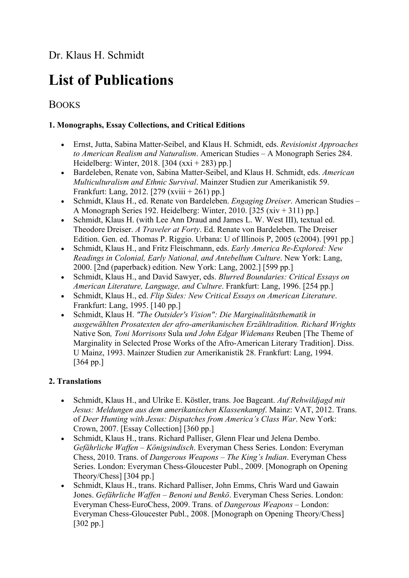# List of Publications

## BOOKS

#### 1. Monographs, Essay Collections, and Critical Editions

- Ernst, Jutta, Sabina Matter-Seibel, and Klaus H. Schmidt, eds. Revisionist Approaches to American Realism and Naturalism. American Studies – A Monograph Series 284. Heidelberg: Winter, 2018. [304  $(xxi + 283)$  pp.]
- Bardeleben, Renate von, Sabina Matter-Seibel, and Klaus H. Schmidt, eds. American Multiculturalism and Ethnic Survival. Mainzer Studien zur Amerikanistik 59. Frankfurt: Lang, 2012. [279 (xviii + 261) pp.]
- Schmidt, Klaus H., ed. Renate von Bardeleben. Engaging Dreiser. American Studies A Monograph Series 192. Heidelberg: Winter, 2010. [325 (xiv + 311) pp.]
- Schmidt, Klaus H. (with Lee Ann Draud and James L. W. West III), textual ed. Theodore Dreiser. A Traveler at Forty. Ed. Renate von Bardeleben. The Dreiser Edition. Gen. ed. Thomas P. Riggio. Urbana: U of Illinois P, 2005 (c2004). [991 pp.]
- Schmidt, Klaus H., and Fritz Fleischmann, eds. Early America Re-Explored: New Readings in Colonial, Early National, and Antebellum Culture. New York: Lang, 2000. [2nd (paperback) edition. New York: Lang, 2002.] [599 pp.]
- Schmidt, Klaus H., and David Sawyer, eds. Blurred Boundaries: Critical Essays on American Literature, Language, and Culture. Frankfurt: Lang, 1996. [254 pp.]
- Schmidt, Klaus H., ed. Flip Sides: New Critical Essays on American Literature. Frankfurt: Lang, 1995. [140 pp.]
- Schmidt, Klaus H. "The Outsider's Vision": Die Marginalitätsthematik in ausgewählten Prosatexten der afro-amerikanischen Erzähltradition. Richard Wrights Native Son, Toni Morrisons Sula und John Edgar Widemans Reuben [The Theme of Marginality in Selected Prose Works of the Afro-American Literary Tradition]. Diss. U Mainz, 1993. Mainzer Studien zur Amerikanistik 28. Frankfurt: Lang, 1994. [364 pp.]

#### 2. Translations

- Schmidt, Klaus H., and Ulrike E. Köstler, trans. Joe Bageant. Auf Rehwildjagd mit Jesus: Meldungen aus dem amerikanischen Klassenkampf. Mainz: VAT, 2012. Trans. of Deer Hunting with Jesus: Dispatches from America's Class War. New York: Crown, 2007. [Essay Collection] [360 pp.]
- Schmidt, Klaus H., trans. Richard Palliser, Glenn Flear und Jelena Dembo. Gefährliche Waffen – Königsindisch. Everyman Chess Series. London: Everyman Chess, 2010. Trans. of Dangerous Weapons – The King's Indian. Everyman Chess Series. London: Everyman Chess-Gloucester Publ., 2009. [Monograph on Opening Theory/Chess] [304 pp.]
- Schmidt, Klaus H., trans. Richard Palliser, John Emms, Chris Ward und Gawain Jones. Gefährliche Waffen – Benoni und Benkö. Everyman Chess Series. London: Everyman Chess-EuroChess, 2009. Trans. of Dangerous Weapons – London: Everyman Chess-Gloucester Publ., 2008. [Monograph on Opening Theory/Chess] [302 pp.]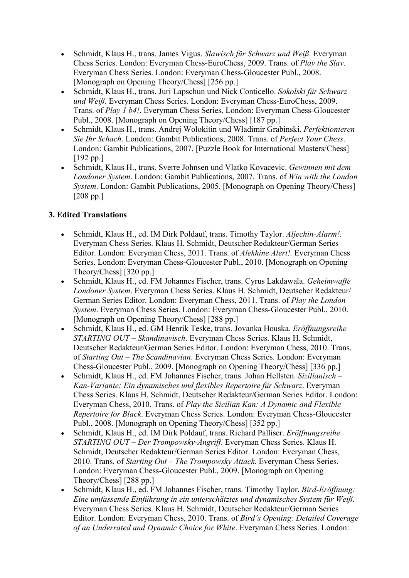- Schmidt, Klaus H., trans. James Vigus. Slawisch für Schwarz und Weiß. Everyman Chess Series. London: Everyman Chess-EuroChess, 2009. Trans. of Play the Slav. Everyman Chess Series. London: Everyman Chess-Gloucester Publ., 2008. [Monograph on Opening Theory/Chess] [256 pp.]
- Schmidt, Klaus H., trans. Juri Lapschun und Nick Conticello. Sokolski für Schwarz und Weiß. Everyman Chess Series. London: Everyman Chess-EuroChess, 2009. Trans. of Play 1 b4!. Everyman Chess Series. London: Everyman Chess-Gloucester Publ., 2008. [Monograph on Opening Theory/Chess] [187 pp.]
- Schmidt, Klaus H., trans. Andrej Wolokitin und Wladimir Grabinski. Perfektionieren Sie Ihr Schach. London: Gambit Publications, 2008. Trans. of Perfect Your Chess. London: Gambit Publications, 2007. [Puzzle Book for International Masters/Chess] [192 pp.]
- Schmidt, Klaus H., trans. Sverre Johnsen und Vlatko Kovacevic. Gewinnen mit dem Londoner System. London: Gambit Publications, 2007. Trans. of Win with the London System. London: Gambit Publications, 2005. [Monograph on Opening Theory/Chess] [208 pp.]

#### 3. Edited Translations

- Schmidt, Klaus H., ed. IM Dirk Poldauf, trans. Timothy Taylor. Aljechin-Alarm!. Everyman Chess Series. Klaus H. Schmidt, Deutscher Redakteur/German Series Editor. London: Everyman Chess, 2011. Trans. of Alekhine Alert!. Everyman Chess Series. London: Everyman Chess-Gloucester Publ., 2010. [Monograph on Opening Theory/Chess] [320 pp.]
- Schmidt, Klaus H., ed. FM Johannes Fischer, trans. Cyrus Lakdawala. Geheimwaffe Londoner System. Everyman Chess Series. Klaus H. Schmidt, Deutscher Redakteur/ German Series Editor. London: Everyman Chess, 2011. Trans. of Play the London System. Everyman Chess Series. London: Everyman Chess-Gloucester Publ., 2010. [Monograph on Opening Theory/Chess] [288 pp.]
- Schmidt, Klaus H., ed. GM Henrik Teske, trans. Jovanka Houska. Eröffnungsreihe STARTING OUT – Skandinavisch. Everyman Chess Series. Klaus H. Schmidt, Deutscher Redakteur/German Series Editor. London: Everyman Chess, 2010. Trans. of Starting Out – The Scandinavian. Everyman Chess Series. London: Everyman Chess-Gloucester Publ., 2009. [Monograph on Opening Theory/Chess] [336 pp.]
- Schmidt, Klaus H., ed. FM Johannes Fischer, trans. Johan Hellsten. Sizilianisch Kan-Variante: Ein dynamisches und flexibles Repertoire für Schwarz. Everyman Chess Series. Klaus H. Schmidt, Deutscher Redakteur/German Series Editor. London: Everyman Chess, 2010. Trans. of Play the Sicilian Kan: A Dynamic and Flexible Repertoire for Black. Everyman Chess Series. London: Everyman Chess-Gloucester Publ., 2008. [Monograph on Opening Theory/Chess] [352 pp.]
- Schmidt, Klaus H., ed. IM Dirk Poldauf, trans. Richard Palliser. Eröffnungsreihe STARTING OUT – Der Trompowsky-Angriff. Everyman Chess Series. Klaus H. Schmidt, Deutscher Redakteur/German Series Editor. London: Everyman Chess, 2010. Trans. of Starting Out – The Trompowsky Attack. Everyman Chess Series. London: Everyman Chess-Gloucester Publ., 2009. [Monograph on Opening Theory/Chess] [288 pp.]
- Schmidt, Klaus H., ed. FM Johannes Fischer, trans. Timothy Taylor. Bird-Eröffnung: Eine umfassende Einführung in ein unterschätztes und dynamisches System für Weiß. Everyman Chess Series. Klaus H. Schmidt, Deutscher Redakteur/German Series Editor. London: Everyman Chess, 2010. Trans. of Bird's Opening: Detailed Coverage of an Underrated and Dynamic Choice for White. Everyman Chess Series. London: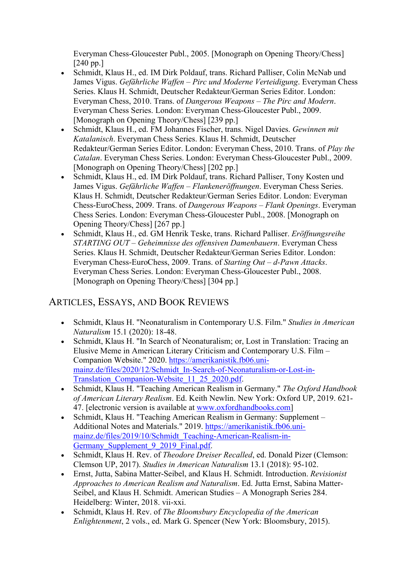Everyman Chess-Gloucester Publ., 2005. [Monograph on Opening Theory/Chess] [240 pp.]

- Schmidt, Klaus H., ed. IM Dirk Poldauf, trans. Richard Palliser, Colin McNab und James Vigus. Gefährliche Waffen – Pirc und Moderne Verteidigung. Everyman Chess Series. Klaus H. Schmidt, Deutscher Redakteur/German Series Editor. London: Everyman Chess, 2010. Trans. of Dangerous Weapons – The Pirc and Modern. Everyman Chess Series. London: Everyman Chess-Gloucester Publ., 2009. [Monograph on Opening Theory/Chess] [239 pp.]
- Schmidt, Klaus H., ed. FM Johannes Fischer, trans. Nigel Davies. Gewinnen mit Katalanisch. Everyman Chess Series. Klaus H. Schmidt, Deutscher Redakteur/German Series Editor. London: Everyman Chess, 2010. Trans. of Play the Catalan. Everyman Chess Series. London: Everyman Chess-Gloucester Publ., 2009. [Monograph on Opening Theory/Chess] [202 pp.]
- Schmidt, Klaus H., ed. IM Dirk Poldauf, trans. Richard Palliser, Tony Kosten und James Vigus. Gefährliche Waffen – Flankeneröffnungen. Everyman Chess Series. Klaus H. Schmidt, Deutscher Redakteur/German Series Editor. London: Everyman Chess-EuroChess, 2009. Trans. of Dangerous Weapons – Flank Openings. Everyman Chess Series. London: Everyman Chess-Gloucester Publ., 2008. [Monograph on Opening Theory/Chess] [267 pp.]
- Schmidt, Klaus H., ed. GM Henrik Teske, trans. Richard Palliser. Eröffnungsreihe STARTING OUT – Geheimnisse des offensiven Damenbauern. Everyman Chess Series. Klaus H. Schmidt, Deutscher Redakteur/German Series Editor. London: Everyman Chess-EuroChess, 2009. Trans. of Starting Out – d-Pawn Attacks. Everyman Chess Series. London: Everyman Chess-Gloucester Publ., 2008. [Monograph on Opening Theory/Chess] [304 pp.]

## ARTICLES, ESSAYS, AND BOOK REVIEWS

- Schmidt, Klaus H. "Neonaturalism in Contemporary U.S. Film." Studies in American Naturalism 15.1 (2020): 18-48.
- Schmidt, Klaus H. "In Search of Neonaturalism; or, Lost in Translation: Tracing an Elusive Meme in American Literary Criticism and Contemporary U.S. Film – Companion Website." 2020. https://amerikanistik.fb06.unimainz.de/files/2020/12/Schmidt In-Search-of-Neonaturalism-or-Lost-in-Translation\_Companion-Website\_11\_25\_2020.pdf.
- Schmidt, Klaus H. "Teaching American Realism in Germany." The Oxford Handbook of American Literary Realism. Ed. Keith Newlin. New York: Oxford UP, 2019. 621- 47. [electronic version is available at www.oxfordhandbooks.com]
- Schmidt, Klaus H. "Teaching American Realism in Germany: Supplement Additional Notes and Materials." 2019. https://amerikanistik.fb06.unimainz.de/files/2019/10/Schmidt\_Teaching-American-Realism-in-Germany Supplement 9 2019 Final.pdf.
- Schmidt, Klaus H. Rev. of Theodore Dreiser Recalled, ed. Donald Pizer (Clemson: Clemson UP, 2017). Studies in American Naturalism 13.1 (2018): 95-102.
- Ernst, Jutta, Sabina Matter-Seibel, and Klaus H. Schmidt. Introduction. Revisionist Approaches to American Realism and Naturalism. Ed. Jutta Ernst, Sabina Matter-Seibel, and Klaus H. Schmidt. American Studies – A Monograph Series 284. Heidelberg: Winter, 2018. vii-xxi.
- Schmidt, Klaus H. Rev. of The Bloomsbury Encyclopedia of the American Enlightenment, 2 vols., ed. Mark G. Spencer (New York: Bloomsbury, 2015).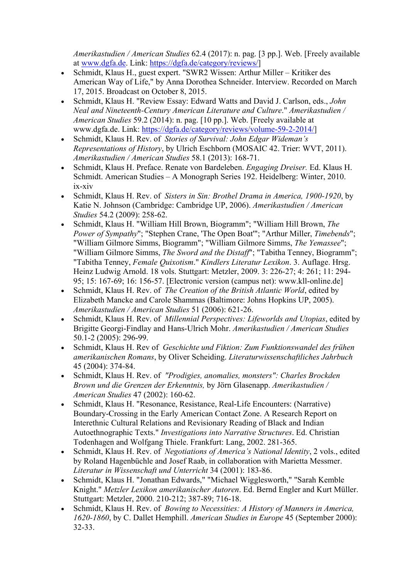Amerikastudien / American Studies 62.4 (2017): n. pag. [3 pp.]. Web. [Freely available at www.dgfa.de. Link: https://dgfa.de/category/reviews/]

- Schmidt, Klaus H., guest expert. "SWR2 Wissen: Arthur Miller Kritiker des American Way of Life," by Anna Dorothea Schneider. Interview. Recorded on March 17, 2015. Broadcast on October 8, 2015.
- Schmidt, Klaus H. "Review Essay: Edward Watts and David J. Carlson, eds., John Neal and Nineteenth-Century American Literature and Culture." Amerikastudien / American Studies 59.2 (2014): n. pag. [10 pp.]. Web. [Freely available at www.dgfa.de. Link: https://dgfa.de/category/reviews/volume-59-2-2014/]
- Schmidt, Klaus H. Rev. of Stories of Survival: John Edgar Wideman's Representations of History, by Ulrich Eschborn (MOSAIC 42. Trier: WVT, 2011). Amerikastudien / American Studies 58.1 (2013): 168-71.
- Schmidt, Klaus H. Preface. Renate von Bardeleben. Engaging Dreiser. Ed. Klaus H. Schmidt. American Studies – A Monograph Series 192. Heidelberg: Winter, 2010. ix-xiv
- Schmidt, Klaus H. Rev. of Sisters in Sin: Brothel Drama in America, 1900-1920, by Katie N. Johnson (Cambridge: Cambridge UP, 2006). Amerikastudien / American Studies 54.2 (2009): 258-62.
- Schmidt, Klaus H. "William Hill Brown, Biogramm"; "William Hill Brown, The Power of Sympathy"; "Stephen Crane, 'The Open Boat'"; "Arthur Miller, Timebends"; "William Gilmore Simms, Biogramm"; "William Gilmore Simms, The Yemassee"; "William Gilmore Simms, The Sword and the Distaff"; "Tabitha Tenney, Biogramm"; "Tabitha Tenney, Female Quixotism." Kindlers Literatur Lexikon. 3. Auflage. Hrsg. Heinz Ludwig Arnold. 18 vols. Stuttgart: Metzler, 2009. 3: 226-27; 4: 261; 11: 294- 95; 15: 167-69; 16: 156-57. [Electronic version (campus net): www.kll-online.de]
- Schmidt, Klaus H. Rev. of The Creation of the British Atlantic World, edited by Elizabeth Mancke and Carole Shammas (Baltimore: Johns Hopkins UP, 2005). Amerikastudien / American Studies 51 (2006): 621-26.
- Schmidt, Klaus H. Rev. of *Millennial Perspectives: Lifeworlds and Utopias*, edited by Brigitte Georgi-Findlay and Hans-Ulrich Mohr. Amerikastudien / American Studies 50.1-2 (2005): 296-99.
- Schmidt, Klaus H. Rev of Geschichte und Fiktion: Zum Funktionswandel des frühen amerikanischen Romans, by Oliver Scheiding. Literaturwissenschaftliches Jahrbuch 45 (2004): 374-84.
- Schmidt, Klaus H. Rev. of "Prodigies, anomalies, monsters": Charles Brockden Brown und die Grenzen der Erkenntnis, by Jörn Glasenapp. Amerikastudien / American Studies 47 (2002): 160-62.
- Schmidt, Klaus H. "Resonance, Resistance, Real-Life Encounters: (Narrative) Boundary-Crossing in the Early American Contact Zone. A Research Report on Interethnic Cultural Relations and Revisionary Reading of Black and Indian Autoethnographic Texts." Investigations into Narrative Structures. Ed. Christian Todenhagen and Wolfgang Thiele. Frankfurt: Lang, 2002. 281-365.
- Schmidt, Klaus H. Rev. of Negotiations of America's National Identity, 2 vols., edited by Roland Hagenbüchle and Josef Raab, in collaboration with Marietta Messmer. Literatur in Wissenschaft und Unterricht 34 (2001): 183-86.
- Schmidt, Klaus H. "Jonathan Edwards," "Michael Wigglesworth," "Sarah Kemble Knight." Metzler Lexikon amerikanischer Autoren. Ed. Bernd Engler and Kurt Müller. Stuttgart: Metzler, 2000. 210-212; 387-89; 716-18.
- Schmidt, Klaus H. Rev. of *Bowing to Necessities: A History of Manners in America*, 1620-1860, by C. Dallet Hemphill. American Studies in Europe 45 (September 2000): 32-33.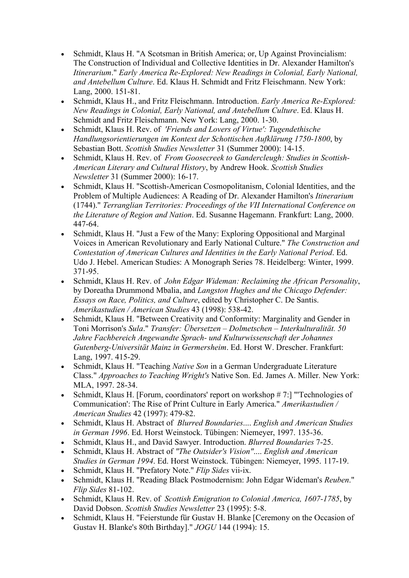- Schmidt, Klaus H. "A Scotsman in British America; or, Up Against Provincialism: The Construction of Individual and Collective Identities in Dr. Alexander Hamilton's Itinerarium." Early America Re-Explored: New Readings in Colonial, Early National, and Antebellum Culture. Ed. Klaus H. Schmidt and Fritz Fleischmann. New York: Lang, 2000. 151-81.
- Schmidt, Klaus H., and Fritz Fleischmann. Introduction. Early America Re-Explored: New Readings in Colonial, Early National, and Antebellum Culture. Ed. Klaus H. Schmidt and Fritz Fleischmann. New York: Lang, 2000. 1-30.
- Schmidt, Klaus H. Rev. of 'Friends and Lovers of Virtue': Tugendethische Handlungsorientierungen im Kontext der Schottischen Aufklärung 1750-1800, by Sebastian Bott. Scottish Studies Newsletter 31 (Summer 2000): 14-15.
- Schmidt, Klaus H. Rev. of From Goosecreek to Gandercleugh: Studies in Scottish-American Literary and Cultural History, by Andrew Hook. Scottish Studies Newsletter 31 (Summer 2000): 16-17.
- Schmidt, Klaus H. "Scottish-American Cosmopolitanism, Colonial Identities, and the Problem of Multiple Audiences: A Reading of Dr. Alexander Hamilton's Itinerarium (1744)." Terranglian Territories: Proceedings of the VII International Conference on the Literature of Region and Nation. Ed. Susanne Hagemann. Frankfurt: Lang, 2000. 447-64.
- Schmidt, Klaus H. "Just a Few of the Many: Exploring Oppositional and Marginal Voices in American Revolutionary and Early National Culture." The Construction and Contestation of American Cultures and Identities in the Early National Period. Ed. Udo J. Hebel. American Studies: A Monograph Series 78. Heidelberg: Winter, 1999. 371-95.
- Schmidt, Klaus H. Rev. of John Edgar Wideman: Reclaiming the African Personality, by Doreatha Drummond Mbalia, and Langston Hughes and the Chicago Defender: Essays on Race, Politics, and Culture, edited by Christopher C. De Santis. Amerikastudien / American Studies 43 (1998): 538-42.
- Schmidt, Klaus H. "Between Creativity and Conformity: Marginality and Gender in Toni Morrison's Sula." Transfer: Übersetzen – Dolmetschen – Interkulturalität. 50 Jahre Fachbereich Angewandte Sprach- und Kulturwissenschaft der Johannes Gutenberg-Universität Mainz in Germersheim. Ed. Horst W. Drescher. Frankfurt: Lang, 1997. 415-29.
- Schmidt, Klaus H. "Teaching Native Son in a German Undergraduate Literature Class." Approaches to Teaching Wright's Native Son. Ed. James A. Miller. New York: MLA, 1997. 28-34.
- Schmidt, Klaus H. [Forum, coordinators' report on workshop  $# 7$ :] "Technologies of Communication': The Rise of Print Culture in Early America." Amerikastudien / American Studies 42 (1997): 479-82.
- Schmidt, Klaus H. Abstract of Blurred Boundaries.... English and American Studies in German 1996. Ed. Horst Weinstock. Tübingen: Niemeyer, 1997. 135-36.
- Schmidt, Klaus H., and David Sawyer. Introduction. Blurred Boundaries 7-25.
- Schmidt, Klaus H. Abstract of "The Outsider's Vision".... English and American Studies in German 1994. Ed. Horst Weinstock. Tübingen: Niemeyer, 1995. 117-19.
- Schmidt, Klaus H. "Prefatory Note." Flip Sides vii-ix.
- Schmidt, Klaus H. "Reading Black Postmodernism: John Edgar Wideman's Reuben." Flip Sides 81-102.
- Schmidt, Klaus H. Rev. of Scottish Emigration to Colonial America, 1607-1785, by David Dobson. Scottish Studies Newsletter 23 (1995): 5-8.
- Schmidt, Klaus H. "Feierstunde für Gustav H. Blanke [Ceremony on the Occasion of Gustav H. Blanke's 80th Birthday]." JOGU 144 (1994): 15.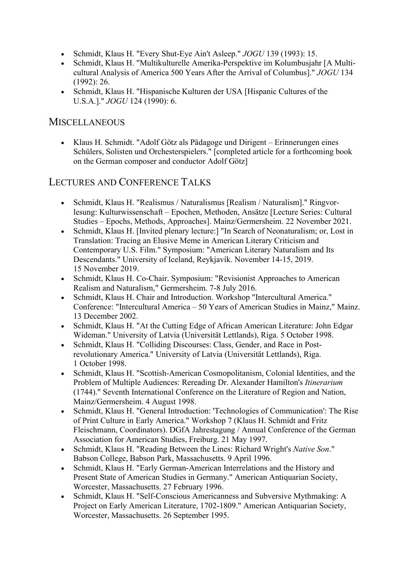- Schmidt, Klaus H. "Every Shut-Eye Ain't Asleep." JOGU 139 (1993): 15.
- Schmidt, Klaus H. "Multikulturelle Amerika-Perspektive im Kolumbusjahr [A Multicultural Analysis of America 500 Years After the Arrival of Columbus]." JOGU 134 (1992): 26.
- Schmidt, Klaus H. "Hispanische Kulturen der USA [Hispanic Cultures of the U.S.A.]." JOGU 124 (1990): 6.

#### **MISCELLANEOUS**

 Klaus H. Schmidt. "Adolf Götz als Pädagoge und Dirigent – Erinnerungen eines Schülers, Solisten und Orchesterspielers." [completed article for a forthcoming book on the German composer and conductor Adolf Götz]

#### LECTURES AND CONFERENCE TALKS

- Schmidt, Klaus H. "Realismus / Naturalismus [Realism / Naturalism]." Ringvorlesung: Kulturwissenschaft – Epochen, Methoden, Ansätze [Lecture Series: Cultural Studies – Epochs, Methods, Approaches]. Mainz/Germersheim. 22 November 2021.
- Schmidt, Klaus H. [Invited plenary lecture:] "In Search of Neonaturalism; or, Lost in Translation: Tracing an Elusive Meme in American Literary Criticism and Contemporary U.S. Film." Symposium: "American Literary Naturalism and Its Descendants." University of Iceland, Reykjavík. November 14-15, 2019. 15 November 2019.
- Schmidt, Klaus H. Co-Chair. Symposium: "Revisionist Approaches to American Realism and Naturalism," Germersheim. 7-8 July 2016.
- Schmidt, Klaus H. Chair and Introduction. Workshop "Intercultural America." Conference: "Intercultural America – 50 Years of American Studies in Mainz," Mainz. 13 December 2002.
- Schmidt, Klaus H. "At the Cutting Edge of African American Literature: John Edgar Wideman." University of Latvia (Universität Lettlands), Riga. 5 October 1998.
- Schmidt, Klaus H. "Colliding Discourses: Class, Gender, and Race in Postrevolutionary America." University of Latvia (Universität Lettlands), Riga. 1 October 1998.
- Schmidt, Klaus H. "Scottish-American Cosmopolitanism, Colonial Identities, and the Problem of Multiple Audiences: Rereading Dr. Alexander Hamilton's Itinerarium (1744)." Seventh International Conference on the Literature of Region and Nation, Mainz/Germersheim. 4 August 1998.
- Schmidt, Klaus H. "General Introduction: 'Technologies of Communication': The Rise of Print Culture in Early America." Workshop 7 (Klaus H. Schmidt and Fritz Fleischmann, Coordinators). DGfA Jahrestagung / Annual Conference of the German Association for American Studies, Freiburg. 21 May 1997.
- Schmidt, Klaus H. "Reading Between the Lines: Richard Wright's Native Son." Babson College, Babson Park, Massachusetts. 9 April 1996.
- Schmidt, Klaus H. "Early German-American Interrelations and the History and Present State of American Studies in Germany." American Antiquarian Society, Worcester, Massachusetts. 27 February 1996.
- Schmidt, Klaus H. "Self-Conscious Americanness and Subversive Mythmaking: A Project on Early American Literature, 1702-1809." American Antiquarian Society, Worcester, Massachusetts. 26 September 1995.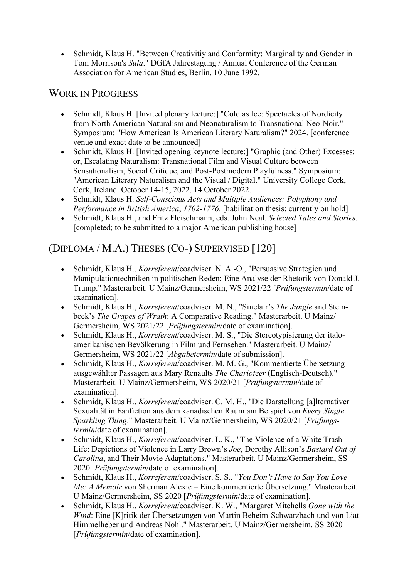Schmidt, Klaus H. "Between Creativitiy and Conformity: Marginality and Gender in Toni Morrison's Sula." DGfA Jahrestagung / Annual Conference of the German Association for American Studies, Berlin. 10 June 1992.

### WORK IN PROGRESS

- Schmidt, Klaus H. [Invited plenary lecture:] "Cold as Ice: Spectacles of Nordicity from North American Naturalism and Neonaturalism to Transnational Neo-Noir." Symposium: "How American Is American Literary Naturalism?" 2024. [conference venue and exact date to be announced]
- Schmidt, Klaus H. [Invited opening keynote lecture:] "Graphic (and Other) Excesses; or, Escalating Naturalism: Transnational Film and Visual Culture between Sensationalism, Social Critique, and Post-Postmodern Playfulness." Symposium: "American Literary Naturalism and the Visual / Digital." University College Cork, Cork, Ireland. October 14-15, 2022. 14 October 2022.
- Schmidt, Klaus H. Self-Conscious Acts and Multiple Audiences: Polyphony and Performance in British America, 1702-1776. [habilitation thesis; currently on hold]
- Schmidt, Klaus H., and Fritz Fleischmann, eds. John Neal. Selected Tales and Stories. [completed; to be submitted to a major American publishing house]

# (DIPLOMA / M.A.) THESES (CO-) SUPERVISED [120]

- Schmidt, Klaus H., Korreferent/coadviser. N. A.-O., "Persuasive Strategien und Manipulationtechniken in politischen Reden: Eine Analyse der Rhetorik von Donald J. Trump." Masterarbeit. U Mainz/Germersheim, WS 2021/22 [Prüfungstermin/date of examination].
- Schmidt, Klaus H., Korreferent/coadviser. M. N., "Sinclair's The Jungle and Steinbeck's The Grapes of Wrath: A Comparative Reading." Masterarbeit. U Mainz/ Germersheim, WS 2021/22 [Prüfungstermin/date of examination].
- Schmidt, Klaus H., Korreferent/coadviser. M. S., "Die Stereotypisierung der italoamerikanischen Bevölkerung in Film und Fernsehen." Masterarbeit. U Mainz/ Germersheim, WS 2021/22 [Abgabetermin/date of submission].
- Schmidt, Klaus H., Korreferent/coadviser. M. M. G., "Kommentierte Übersetzung ausgewählter Passagen aus Mary Renaults The Charioteer (Englisch-Deutsch)." Masterarbeit. U Mainz/Germersheim, WS 2020/21 [Prüfungstermin/date of examination].
- Schmidt, Klaus H., Korreferent/coadviser. C. M. H., "Die Darstellung [a]lternativer Sexualität in Fanfiction aus dem kanadischen Raum am Beispiel von Every Single Sparkling Thing." Masterarbeit. U Mainz/Germersheim, WS 2020/21 [Prüfungstermin/date of examination].
- Schmidt, Klaus H., Korreferent/coadviser. L. K., "The Violence of a White Trash Life: Depictions of Violence in Larry Brown's Joe, Dorothy Allison's Bastard Out of Carolina, and Their Movie Adaptations." Masterarbeit. U Mainz/Germersheim, SS 2020 [Prüfungstermin/date of examination].
- Schmidt, Klaus H., Korreferent/coadviser. S. S., "You Don't Have to Say You Love Me: A Memoir von Sherman Alexie – Eine kommentierte Übersetzung." Masterarbeit. U Mainz/Germersheim, SS 2020 [Prüfungstermin/date of examination].
- Schmidt, Klaus H., Korreferent/coadviser. K. W., "Margaret Mitchells Gone with the Wind: Eine [K]ritik der Übersetzungen von Martin Beheim-Schwarzbach und von Liat Himmelheber und Andreas Nohl." Masterarbeit. U Mainz/Germersheim, SS 2020 [Prüfungstermin/date of examination].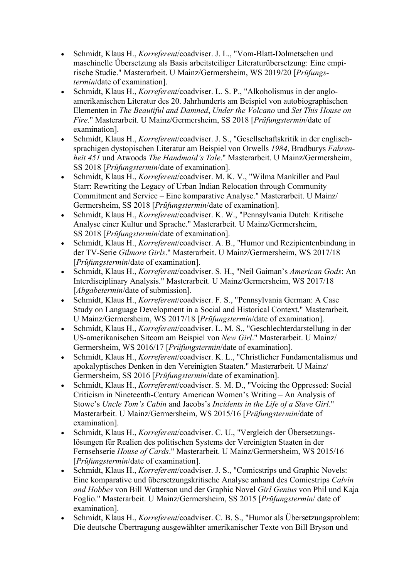- Schmidt, Klaus H., Korreferent/coadviser. J. L., "Vom-Blatt-Dolmetschen und maschinelle Übersetzung als Basis arbeitsteiliger Literaturübersetzung: Eine empirische Studie." Masterarbeit. U Mainz/Germersheim, WS 2019/20 [Prüfungstermin/date of examination].
- Schmidt, Klaus H., Korreferent/coadviser. L. S. P., "Alkoholismus in der angloamerikanischen Literatur des 20. Jahrhunderts am Beispiel von autobiographischen Elementen in The Beautiful and Damned, Under the Volcano und Set This House on Fire." Masterarbeit. U Mainz/Germersheim, SS 2018 [Prüfungstermin/date of examination].
- Schmidt, Klaus H., Korreferent/coadviser. J. S., "Gesellschaftskritik in der englischsprachigen dystopischen Literatur am Beispiel von Orwells 1984, Bradburys Fahrenheit 451 und Atwoods The Handmaid's Tale." Masterarbeit. U Mainz/Germersheim, SS 2018 [Prüfungstermin/date of examination].
- Schmidt, Klaus H., Korreferent/coadviser. M. K. V., "Wilma Mankiller and Paul Starr: Rewriting the Legacy of Urban Indian Relocation through Community Commitment and Service – Eine komparative Analyse." Masterarbeit. U Mainz/ Germersheim, SS 2018 [Prüfungstermin/date of examination].
- Schmidt, Klaus H., Korreferent/coadviser. K. W., "Pennsylvania Dutch: Kritische Analyse einer Kultur und Sprache." Masterarbeit. U Mainz/Germersheim, SS 2018 [Prüfungstermin/date of examination].
- Schmidt, Klaus H., Korreferent/coadviser. A. B., "Humor und Rezipientenbindung in der TV-Serie Gilmore Girls." Masterarbeit. U Mainz/Germersheim, WS 2017/18 [Prüfungstermin/date of examination].
- Schmidt, Klaus H., Korreferent/coadviser. S. H., "Neil Gaiman's American Gods: An Interdisciplinary Analysis." Masterarbeit. U Mainz/Germersheim, WS 2017/18 [*Abgabetermin*/date of submission].
- Schmidt, Klaus H., Korreferent/coadviser. F. S., "Pennsylvania German: A Case Study on Language Development in a Social and Historical Context." Masterarbeit. U Mainz/Germersheim, WS 2017/18 [Prüfungstermin/date of examination].
- Schmidt, Klaus H., Korreferent/coadviser. L. M. S., "Geschlechterdarstellung in der US-amerikanischen Sitcom am Beispiel von New Girl." Masterarbeit. U Mainz/ Germersheim, WS 2016/17 [Prüfungstermin/date of examination].
- Schmidt, Klaus H., Korreferent/coadviser. K. L., "Christlicher Fundamentalismus und apokalyptisches Denken in den Vereinigten Staaten." Masterarbeit. U Mainz/ Germersheim, SS 2016 [Prüfungstermin/date of examination].
- Schmidt, Klaus H., Korreferent/coadviser. S. M. D., "Voicing the Oppressed: Social Criticism in Nineteenth-Century American Women's Writing – An Analysis of Stowe's Uncle Tom's Cabin and Jacobs's Incidents in the Life of a Slave Girl." Masterarbeit. U Mainz/Germersheim, WS 2015/16 [Prüfungstermin/date of examination].
- Schmidt, Klaus H., Korreferent/coadviser. C. U., "Vergleich der Übersetzungslösungen für Realien des politischen Systems der Vereinigten Staaten in der Fernsehserie House of Cards." Masterarbeit. U Mainz/Germersheim, WS 2015/16 [Prüfungstermin/date of examination].
- Schmidt, Klaus H., Korreferent/coadviser. J. S., "Comicstrips und Graphic Novels: Eine komparative und übersetzungskritische Analyse anhand des Comicstrips Calvin and Hobbes von Bill Watterson und der Graphic Novel Girl Genius von Phil und Kaja Foglio." Masterarbeit. U Mainz/Germersheim, SS 2015 [Prüfungstermin/ date of examination].
- Schmidt, Klaus H., *Korreferent*/coadviser. C. B. S., "Humor als Übersetzungsproblem: Die deutsche Übertragung ausgewählter amerikanischer Texte von Bill Bryson und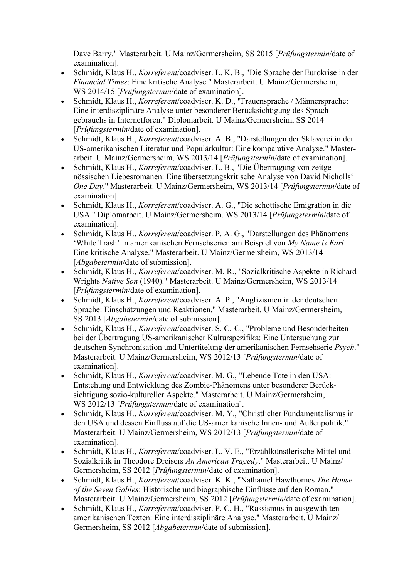Dave Barry." Masterarbeit. U Mainz/Germersheim, SS 2015 [Prüfungstermin/date of examination].

- Schmidt, Klaus H., Korreferent/coadviser. L. K. B., "Die Sprache der Eurokrise in der Financial Times: Eine kritische Analyse." Masterarbeit. U Mainz/Germersheim, WS 2014/15 [*Prüfungstermin*/date of examination].
- Schmidt, Klaus H., Korreferent/coadviser. K. D., "Frauensprache / Männersprache: Eine interdisziplinäre Analyse unter besonderer Berücksichtigung des Sprachgebrauchs in Internetforen." Diplomarbeit. U Mainz/Germersheim, SS 2014 [Prüfungstermin/date of examination].
- Schmidt, Klaus H., Korreferent/coadviser. A. B., "Darstellungen der Sklaverei in der US-amerikanischen Literatur und Populärkultur: Eine komparative Analyse." Masterarbeit. U Mainz/Germersheim, WS 2013/14 [Prüfungstermin/date of examination].
- Schmidt, Klaus H., Korreferent/coadviser. L. B., "Die Übertragung von zeitgenössischen Liebesromanen: Eine übersetzungskritische Analyse von David Nicholls' One Day." Masterarbeit. U Mainz/Germersheim, WS 2013/14 [Prüfungstermin/date of examination].
- Schmidt, Klaus H., Korreferent/coadviser. A. G., "Die schottische Emigration in die USA." Diplomarbeit. U Mainz/Germersheim, WS 2013/14 [Prüfungstermin/date of examination].
- Schmidt, Klaus H., Korreferent/coadviser. P. A. G., "Darstellungen des Phänomens 'White Trash' in amerikanischen Fernsehserien am Beispiel von My Name is Earl: Eine kritische Analyse." Masterarbeit. U Mainz/Germersheim, WS 2013/14 [*Abgabetermin*/date of submission].
- Schmidt, Klaus H., Korreferent/coadviser. M. R., "Sozialkritische Aspekte in Richard Wrights Native Son (1940)." Masterarbeit. U Mainz/Germersheim, WS 2013/14 [Prüfungstermin/date of examination].
- Schmidt, Klaus H., Korreferent/coadviser. A. P., "Anglizismen in der deutschen Sprache: Einschätzungen und Reaktionen." Masterarbeit. U Mainz/Germersheim, SS 2013 [Abgabetermin/date of submission].
- Schmidt, Klaus H., Korreferent/coadviser. S. C.-C., "Probleme und Besonderheiten bei der Übertragung US-amerikanischer Kulturspezifika: Eine Untersuchung zur deutschen Synchronisation und Untertitelung der amerikanischen Fernsehserie Psych." Masterarbeit. U Mainz/Germersheim, WS 2012/13 [Prüfungstermin/date of examination].
- Schmidt, Klaus H., Korreferent/coadviser. M. G., "Lebende Tote in den USA: Entstehung und Entwicklung des Zombie-Phänomens unter besonderer Berücksichtigung sozio-kultureller Aspekte." Masterarbeit. U Mainz/Germersheim, WS 2012/13 [*Prüfungstermin*/date of examination].
- Schmidt, Klaus H., Korreferent/coadviser. M. Y., "Christlicher Fundamentalismus in den USA und dessen Einfluss auf die US-amerikanische Innen- und Außenpolitik." Masterarbeit. U Mainz/Germersheim, WS 2012/13 [Prüfungstermin/date of examination].
- Schmidt, Klaus H., Korreferent/coadviser. L. V. E., "Erzählkünstlerische Mittel und Sozialkritik in Theodore Dreisers An American Tragedy." Masterarbeit. U Mainz/ Germersheim, SS 2012 [Prüfungstermin/date of examination].
- Schmidt, Klaus H., Korreferent/coadviser. K. K., "Nathaniel Hawthornes The House of the Seven Gables: Historische und biographische Einflüsse auf den Roman." Masterarbeit. U Mainz/Germersheim, SS 2012 [Prüfungstermin/date of examination].
- Schmidt, Klaus H., Korreferent/coadviser. P. C. H., "Rassismus in ausgewählten amerikanischen Texten: Eine interdisziplinäre Analyse." Masterarbeit. U Mainz/ Germersheim, SS 2012 [Abgabetermin/date of submission].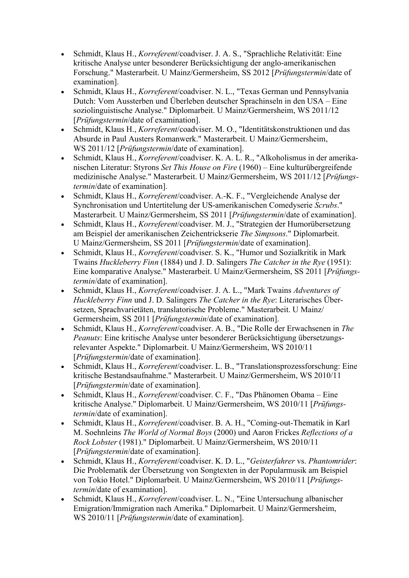- Schmidt, Klaus H., Korreferent/coadviser. J. A. S., "Sprachliche Relativität: Eine kritische Analyse unter besonderer Berücksichtigung der anglo-amerikanischen Forschung." Masterarbeit. U Mainz/Germersheim, SS 2012 [Prüfungstermin/date of examination].
- Schmidt, Klaus H., Korreferent/coadviser. N. L., "Texas German und Pennsylvania Dutch: Vom Aussterben und Überleben deutscher Sprachinseln in den USA – Eine soziolinguistische Analyse." Diplomarbeit. U Mainz/Germersheim, WS 2011/12 [Prüfungstermin/date of examination].
- Schmidt, Klaus H., Korreferent/coadviser. M. O., "Identitätskonstruktionen und das Absurde in Paul Austers Romanwerk." Masterarbeit. U Mainz/Germersheim, WS 2011/12 [*Prüfungstermin*/date of examination].
- Schmidt, Klaus H., Korreferent/coadviser. K. A. L. R., "Alkoholismus in der amerikanischen Literatur: Styrons Set This House on Fire (1960) – Eine kulturübergreifende medizinische Analyse." Masterarbeit. U Mainz/Germersheim, WS 2011/12 [Prüfungstermin/date of examination].
- Schmidt, Klaus H., Korreferent/coadviser. A.-K. F., "Vergleichende Analyse der Synchronisation und Untertitelung der US-amerikanischen Comedyserie Scrubs." Masterarbeit. U Mainz/Germersheim, SS 2011 [Prüfungstermin/date of examination].
- Schmidt, Klaus H., Korreferent/coadviser. M. J., "Strategien der Humorübersetzung am Beispiel der amerikanischen Zeichentrickserie The Simpsons." Diplomarbeit. U Mainz/Germersheim, SS 2011 [Prüfungstermin/date of examination].
- Schmidt, Klaus H., Korreferent/coadviser. S. K., "Humor und Sozialkritik in Mark Twains Huckleberry Finn (1884) und J. D. Salingers The Catcher in the Rye (1951): Eine komparative Analyse." Masterarbeit. U Mainz/Germersheim, SS 2011 [Prüfungstermin/date of examination].
- Schmidt, Klaus H., Korreferent/coadviser. J. A. L., "Mark Twains Adventures of Huckleberry Finn und J. D. Salingers The Catcher in the Rye: Literarisches Übersetzen, Sprachvarietäten, translatorische Probleme." Masterarbeit. U Mainz/ Germersheim, SS 2011 [Prüfungstermin/date of examination].
- Schmidt, Klaus H., Korreferent/coadviser. A. B., "Die Rolle der Erwachsenen in The Peanuts: Eine kritische Analyse unter besonderer Berücksichtigung übersetzungsrelevanter Aspekte." Diplomarbeit. U Mainz/Germersheim, WS 2010/11 [Prüfungstermin/date of examination].
- Schmidt, Klaus H., Korreferent/coadviser. L. B., "Translationsprozessforschung: Eine kritische Bestandsaufnahme." Masterarbeit. U Mainz/Germersheim, WS 2010/11 [Prüfungstermin/date of examination].
- Schmidt, Klaus H., Korreferent/coadviser. C. F., "Das Phänomen Obama Eine kritische Analyse." Diplomarbeit. U Mainz/Germersheim, WS 2010/11 [Prüfungstermin/date of examination].
- Schmidt, Klaus H., Korreferent/coadviser. B. A. H., "Coming-out-Thematik in Karl M. Soehnleins The World of Normal Boys (2000) und Aaron Frickes Reflections of a Rock Lobster (1981)." Diplomarbeit. U Mainz/Germersheim, WS 2010/11 [Prüfungstermin/date of examination].
- Schmidt, Klaus H., Korreferent/coadviser. K. D. L., "Geisterfahrer vs. Phantomrider: Die Problematik der Übersetzung von Songtexten in der Popularmusik am Beispiel von Tokio Hotel." Diplomarbeit. U Mainz/Germersheim, WS 2010/11 [Prüfungstermin/date of examination].
- Schmidt, Klaus H., Korreferent/coadviser. L. N., "Eine Untersuchung albanischer Emigration/Immigration nach Amerika." Diplomarbeit. U Mainz/Germersheim, WS 2010/11 [*Prüfungstermin*/date of examination].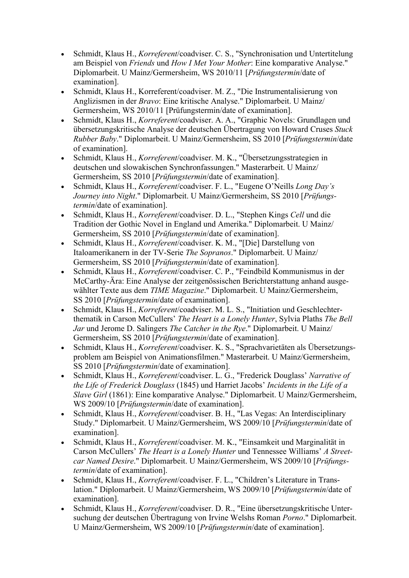- Schmidt, Klaus H., Korreferent/coadviser. C. S., "Synchronisation und Untertitelung am Beispiel von Friends und How I Met Your Mother: Eine komparative Analyse." Diplomarbeit. U Mainz/Germersheim, WS 2010/11 [Prüfungstermin/date of examination].
- Schmidt, Klaus H., Korreferent/coadviser. M. Z., "Die Instrumentalisierung von Anglizismen in der Bravo: Eine kritische Analyse." Diplomarbeit. U Mainz/ Germersheim, WS 2010/11 [Prüfungstermin/date of examination].
- Schmidt, Klaus H., Korreferent/coadviser. A. A., "Graphic Novels: Grundlagen und übersetzungskritische Analyse der deutschen Übertragung von Howard Cruses Stuck Rubber Baby." Diplomarbeit. U Mainz/Germersheim, SS 2010 [Prüfungstermin/date of examination].
- Schmidt, Klaus H., Korreferent/coadviser. M. K., "Übersetzungsstrategien in deutschen und slowakischen Synchronfassungen." Masterarbeit. U Mainz/ Germersheim, SS 2010 [Prüfungstermin/date of examination].
- Schmidt, Klaus H., Korreferent/coadviser. F. L., "Eugene O'Neills Long Day's Journey into Night." Diplomarbeit. U Mainz/Germersheim, SS 2010 [Prüfungstermin/date of examination].
- Schmidt, Klaus H., Korreferent/coadviser. D. L., "Stephen Kings Cell und die Tradition der Gothic Novel in England und Amerika." Diplomarbeit. U Mainz/ Germersheim, SS 2010 [Prüfungstermin/date of examination].
- Schmidt, Klaus H., Korreferent/coadviser. K. M., "[Die] Darstellung von Italoamerikanern in der TV-Serie The Sopranos." Diplomarbeit. U Mainz/ Germersheim, SS 2010 [Prüfungstermin/date of examination].
- Schmidt, Klaus H., Korreferent/coadviser. C. P., "Feindbild Kommunismus in der McCarthy-Ära: Eine Analyse der zeitgenössischen Berichterstattung anhand ausgewählter Texte aus dem TIME Magazine." Diplomarbeit. U Mainz/Germersheim, SS 2010 [Prüfungstermin/date of examination].
- Schmidt, Klaus H., Korreferent/coadviser. M. L. S., "Initiation und Geschlechterthematik in Carson McCullers' The Heart is a Lonely Hunter, Sylvia Plaths The Bell Jar und Jerome D. Salingers The Catcher in the Rye." Diplomarbeit. U Mainz/ Germersheim, SS 2010 [Prüfungstermin/date of examination].
- Schmidt, Klaus H., Korreferent/coadviser. K. S., "Sprachvarietäten als Übersetzungsproblem am Beispiel von Animationsfilmen." Masterarbeit. U Mainz/Germersheim, SS 2010 [Prüfungstermin/date of examination].
- Schmidt, Klaus H., Korreferent/coadviser. L. G., "Frederick Douglass' Narrative of the Life of Frederick Douglass (1845) und Harriet Jacobs' Incidents in the Life of a Slave Girl (1861): Eine komparative Analyse." Diplomarbeit. U Mainz/Germersheim, WS 2009/10 [*Prüfungstermin*/date of examination].
- Schmidt, Klaus H., Korreferent/coadviser. B. H., "Las Vegas: An Interdisciplinary Study." Diplomarbeit. U Mainz/Germersheim, WS 2009/10 [Prüfungstermin/date of examination].
- Schmidt, Klaus H., Korreferent/coadviser. M. K., "Einsamkeit und Marginalität in Carson McCullers' The Heart is a Lonely Hunter und Tennessee Williams' A Streetcar Named Desire." Diplomarbeit. U Mainz/Germersheim, WS 2009/10 [Prüfungstermin/date of examination].
- Schmidt, Klaus H., Korreferent/coadviser. F. L., "Children's Literature in Translation." Diplomarbeit. U Mainz/Germersheim, WS 2009/10 [Prüfungstermin/date of examination].
- Schmidt, Klaus H., Korreferent/coadviser. D. R., "Eine übersetzungskritische Untersuchung der deutschen Übertragung von Irvine Welshs Roman Porno." Diplomarbeit. U Mainz/Germersheim, WS 2009/10 [Prüfungstermin/date of examination].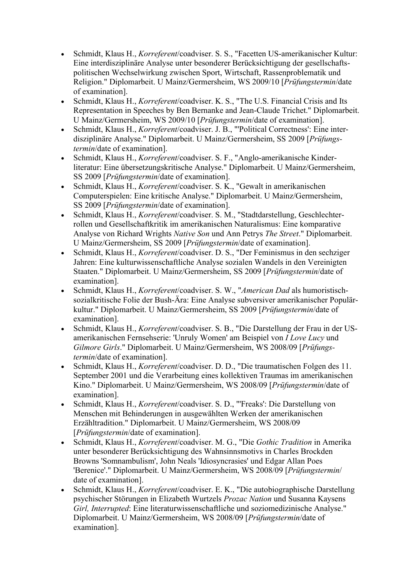- Schmidt, Klaus H., Korreferent/coadviser. S. S., "Facetten US-amerikanischer Kultur: Eine interdisziplinäre Analyse unter besonderer Berücksichtigung der gesellschaftspolitischen Wechselwirkung zwischen Sport, Wirtschaft, Rassenproblematik und Religion." Diplomarbeit. U Mainz/Germersheim, WS 2009/10 [Prüfungstermin/date of examination].
- Schmidt, Klaus H., Korreferent/coadviser. K. S., "The U.S. Financial Crisis and Its Representation in Speeches by Ben Bernanke and Jean-Claude Trichet." Diplomarbeit. U Mainz/Germersheim, WS 2009/10 [Prüfungstermin/date of examination].
- Schmidt, Klaus H., Korreferent/coadviser. J. B., "'Political Correctness': Eine interdisziplinäre Analyse." Diplomarbeit. U Mainz/Germersheim, SS 2009 [Prüfungstermin/date of examination].
- Schmidt, Klaus H., Korreferent/coadviser. S. F., "Anglo-amerikanische Kinderliteratur: Eine übersetzungskritische Analyse." Diplomarbeit. U Mainz/Germersheim, SS 2009 [Prüfungstermin/date of examination].
- Schmidt, Klaus H., Korreferent/coadviser. S. K., "Gewalt in amerikanischen Computerspielen: Eine kritische Analyse." Diplomarbeit. U Mainz/Germersheim, SS 2009 [Prüfungstermin/date of examination].
- Schmidt, Klaus H., Korreferent/coadviser. S. M., "Stadtdarstellung, Geschlechterrollen und Gesellschaftkritik im amerikanischen Naturalismus: Eine komparative Analyse von Richard Wrights Native Son und Ann Petrys The Street." Diplomarbeit. U Mainz/Germersheim, SS 2009 [Prüfungstermin/date of examination].
- Schmidt, Klaus H., Korreferent/coadviser. D. S., "Der Feminismus in den sechziger Jahren: Eine kulturwissenschaftliche Analyse sozialen Wandels in den Vereinigten Staaten." Diplomarbeit. U Mainz/Germersheim, SS 2009 [Prüfungstermin/date of examination].
- Schmidt, Klaus H., Korreferent/coadviser. S. W., "American Dad als humoristischsozialkritische Folie der Bush-Ära: Eine Analyse subversiver amerikanischer Populärkultur." Diplomarbeit. U Mainz/Germersheim, SS 2009 [Prüfungstermin/date of examination].
- Schmidt, Klaus H., Korreferent/coadviser. S. B., "Die Darstellung der Frau in der USamerikanischen Fernsehserie: 'Unruly Women' am Beispiel von I Love Lucy und Gilmore Girls." Diplomarbeit. U Mainz/Germersheim, WS 2008/09 [Prüfungstermin/date of examination].
- Schmidt, Klaus H., Korreferent/coadviser. D. D., "Die traumatischen Folgen des 11. September 2001 und die Verarbeitung eines kollektiven Traumas im amerikanischen Kino." Diplomarbeit. U Mainz/Germersheim, WS 2008/09 [Prüfungstermin/date of examination].
- Schmidt, Klaus H., Korreferent/coadviser. S. D., "'Freaks': Die Darstellung von Menschen mit Behinderungen in ausgewählten Werken der amerikanischen Erzähltradition." Diplomarbeit. U Mainz/Germersheim, WS 2008/09 [Prüfungstermin/date of examination].
- Schmidt, Klaus H., Korreferent/coadviser. M. G., "Die Gothic Tradition in Amerika unter besonderer Berücksichtigung des Wahnsinnsmotivs in Charles Brockden Browns 'Somnambulism', John Neals 'Idiosyncrasies' und Edgar Allan Poes 'Berenice'." Diplomarbeit. U Mainz/Germersheim, WS 2008/09 [Prüfungstermin/ date of examination].
- Schmidt, Klaus H., Korreferent/coadviser. E. K., "Die autobiographische Darstellung psychischer Störungen in Elizabeth Wurtzels Prozac Nation und Susanna Kaysens Girl, Interrupted: Eine literaturwissenschaftliche und soziomedizinische Analyse." Diplomarbeit. U Mainz/Germersheim, WS 2008/09 [Prüfungstermin/date of examination].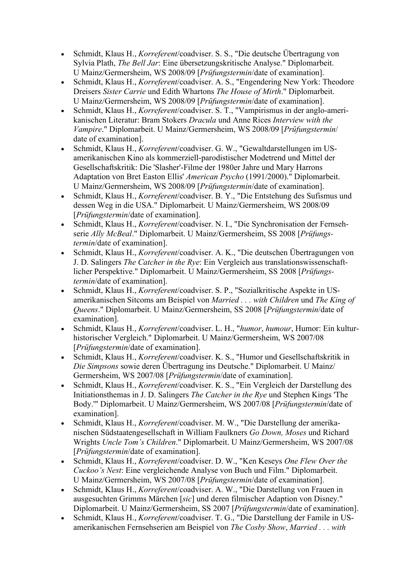- Schmidt, Klaus H., Korreferent/coadviser. S. S., "Die deutsche Übertragung von Sylvia Plath, The Bell Jar: Eine übersetzungskritische Analyse." Diplomarbeit. U Mainz/Germersheim, WS 2008/09 [Prüfungstermin/date of examination].
- Schmidt, Klaus H., Korreferent/coadviser. A. S., "Engendering New York: Theodore Dreisers Sister Carrie und Edith Whartons The House of Mirth." Diplomarbeit. U Mainz/Germersheim, WS 2008/09 [Prüfungstermin/date of examination].
- Schmidt, Klaus H., Korreferent/coadviser. S. T., "Vampirismus in der anglo-amerikanischen Literatur: Bram Stokers Dracula und Anne Rices Interview with the Vampire." Diplomarbeit. U Mainz/Germersheim, WS 2008/09 [Prüfungstermin/ date of examination].
- Schmidt, Klaus H., Korreferent/coadviser. G. W., "Gewaltdarstellungen im USamerikanischen Kino als kommerziell-parodistischer Modetrend und Mittel der Gesellschaftskritik: Die 'Slasher'-Filme der 1980er Jahre und Mary Harrons Adaptation von Bret Easton Ellis' American Psycho (1991/2000)." Diplomarbeit. U Mainz/Germersheim, WS 2008/09 [Prüfungstermin/date of examination].
- Schmidt, Klaus H., Korreferent/coadviser. B. Y., "Die Entstehung des Sufismus und dessen Weg in die USA." Diplomarbeit. U Mainz/Germersheim, WS 2008/09 [Prüfungstermin/date of examination].
- Schmidt, Klaus H., Korreferent/coadviser. N. I., "Die Synchronisation der Fernsehserie Ally McBeal." Diplomarbeit. U Mainz/Germersheim, SS 2008 [Prüfungstermin/date of examination].
- Schmidt, Klaus H., Korreferent/coadviser. A. K., "Die deutschen Übertragungen von J. D. Salingers The Catcher in the Rye: Ein Vergleich aus translationswissenschaftlicher Perspektive." Diplomarbeit. U Mainz/Germersheim, SS 2008 [Prüfungstermin/date of examination].
- Schmidt, Klaus H., Korreferent/coadviser. S. P., "Sozialkritische Aspekte in USamerikanischen Sitcoms am Beispiel von Married . . . with Children und The King of Queens." Diplomarbeit. U Mainz/Germersheim, SS 2008 [Prüfungstermin/date of examination].
- Schmidt, Klaus H., Korreferent/coadviser. L. H., "humor, humour, Humor: Ein kulturhistorischer Vergleich." Diplomarbeit. U Mainz/Germersheim, WS 2007/08 [Prüfungstermin/date of examination].
- Schmidt, Klaus H., Korreferent/coadviser. K. S., "Humor und Gesellschaftskritik in Die Simpsons sowie deren Übertragung ins Deutsche." Diplomarbeit. U Mainz/ Germersheim, WS 2007/08 [Prüfungstermin/date of examination].
- Schmidt, Klaus H., Korreferent/coadviser. K. S., "Ein Vergleich der Darstellung des Initiationsthemas in J. D. Salingers The Catcher in the Rye und Stephen Kings 'The Body.'" Diplomarbeit. U Mainz/Germersheim, WS 2007/08 [Prüfungstermin/date of examination].
- Schmidt, Klaus H., Korreferent/coadviser. M. W., "Die Darstellung der amerikanischen Südstaatengesellschaft in William Faulkners Go Down, Moses und Richard Wrights Uncle Tom's Children." Diplomarbeit. U Mainz/Germersheim, WS 2007/08 [Prüfungstermin/date of examination].
- Schmidt, Klaus H., Korreferent/coadviser. D. W., "Ken Keseys One Flew Over the Cuckoo's Nest: Eine vergleichende Analyse von Buch und Film." Diplomarbeit. U Mainz/Germersheim, WS 2007/08 [Prüfungstermin/date of examination].
- Schmidt, Klaus H., Korreferent/coadviser. A. W., "Die Darstellung von Frauen in ausgesuchten Grimms Märchen [sic] und deren filmischer Adaption von Disney." Diplomarbeit. U Mainz/Germersheim, SS 2007 [Prüfungstermin/date of examination].
- Schmidt, Klaus H., Korreferent/coadviser. T. G., "Die Darstellung der Famile in USamerikanischen Fernsehserien am Beispiel von The Cosby Show, Married . . . with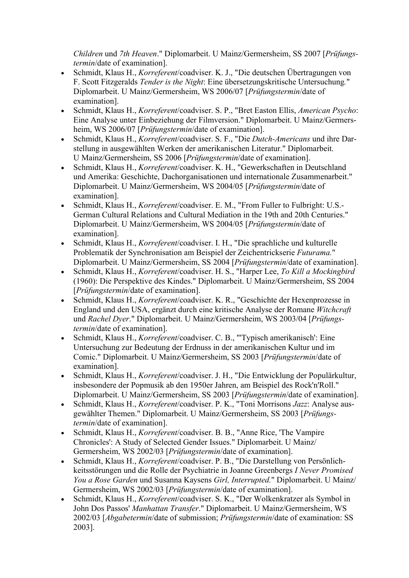Children und 7th Heaven." Diplomarbeit. U Mainz/Germersheim, SS 2007 [Prüfungstermin/date of examination].

- Schmidt, Klaus H., Korreferent/coadviser. K. J., "Die deutschen Übertragungen von F. Scott Fitzgeralds Tender is the Night: Eine übersetzungskritische Untersuchung." Diplomarbeit. U Mainz/Germersheim, WS 2006/07 [Prüfungstermin/date of examination].
- Schmidt, Klaus H., Korreferent/coadviser. S. P., "Bret Easton Ellis, American Psycho: Eine Analyse unter Einbeziehung der Filmversion." Diplomarbeit. U Mainz/Germersheim, WS 2006/07 [Prüfungstermin/date of examination].
- Schmidt, Klaus H., Korreferent/coadviser. S. F., "Die Dutch-Americans und ihre Darstellung in ausgewählten Werken der amerikanischen Literatur." Diplomarbeit. U Mainz/Germersheim, SS 2006 [Prüfungstermin/date of examination].
- Schmidt, Klaus H., Korreferent/coadviser. K. H., "Gewerkschaften in Deutschland und Amerika: Geschichte, Dachorganisationen und internationale Zusammenarbeit." Diplomarbeit. U Mainz/Germersheim, WS 2004/05 [Prüfungstermin/date of examination].
- Schmidt, Klaus H., Korreferent/coadviser. E. M., "From Fuller to Fulbright: U.S.-German Cultural Relations and Cultural Mediation in the 19th and 20th Centuries." Diplomarbeit. U Mainz/Germersheim, WS 2004/05 [Prüfungstermin/date of examination].
- Schmidt, Klaus H., Korreferent/coadviser. I. H., "Die sprachliche und kulturelle Problematik der Synchronisation am Beispiel der Zeichentrickserie Futurama." Diplomarbeit. U Mainz/Germersheim, SS 2004 [Prüfungstermin/date of examination].
- Schmidt, Klaus H., Korreferent/coadviser. H. S., "Harper Lee, To Kill a Mockingbird (1960): Die Perspektive des Kindes." Diplomarbeit. U Mainz/Germersheim, SS 2004 [Prüfungstermin/date of examination].
- Schmidt, Klaus H., Korreferent/coadviser. K. R., "Geschichte der Hexenprozesse in England und den USA, ergänzt durch eine kritische Analyse der Romane Witchcraft und Rachel Dyer." Diplomarbeit. U Mainz/Germersheim, WS 2003/04 [Prüfungstermin/date of examination].
- Schmidt, Klaus H., Korreferent/coadviser. C. B., "'Typisch amerikanisch': Eine Untersuchung zur Bedeutung der Erdnuss in der amerikanischen Kultur und im Comic." Diplomarbeit. U Mainz/Germersheim, SS 2003 [Prüfungstermin/date of examination].
- Schmidt, Klaus H., Korreferent/coadviser. J. H., "Die Entwicklung der Populärkultur, insbesondere der Popmusik ab den 1950er Jahren, am Beispiel des Rock'n'Roll." Diplomarbeit. U Mainz/Germersheim, SS 2003 [Prüfungstermin/date of examination].
- Schmidt, Klaus H., Korreferent/coadviser. P. K., "Toni Morrisons Jazz: Analyse ausgewählter Themen." Diplomarbeit. U Mainz/Germersheim, SS 2003 [Prüfungstermin/date of examination].
- Schmidt, Klaus H., Korreferent/coadviser. B. B., "Anne Rice, 'The Vampire Chronicles': A Study of Selected Gender Issues." Diplomarbeit. U Mainz/ Germersheim, WS 2002/03 [Prüfungstermin/date of examination].
- Schmidt, Klaus H., Korreferent/coadviser. P. B., "Die Darstellung von Persönlichkeitsstörungen und die Rolle der Psychiatrie in Joanne Greenbergs I Never Promised You a Rose Garden und Susanna Kaysens Girl, Interrupted." Diplomarbeit. U Mainz/ Germersheim, WS 2002/03 [Prüfungstermin/date of examination].
- Schmidt, Klaus H., Korreferent/coadviser. S. K., "Der Wolkenkratzer als Symbol in John Dos Passos' Manhattan Transfer." Diplomarbeit. U Mainz/Germersheim, WS 2002/03 [*Abgabetermin*/date of submission; *Prüfungstermin*/date of examination: SS 2003].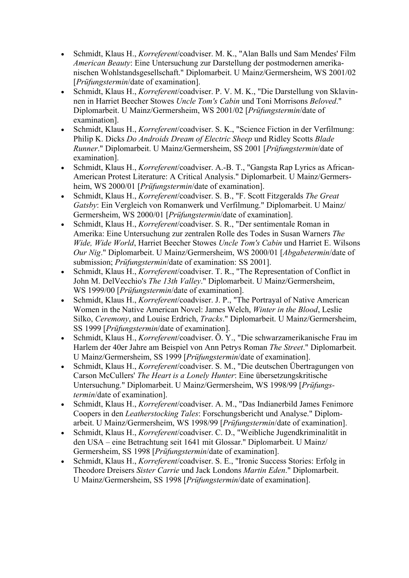- Schmidt, Klaus H., Korreferent/coadviser. M. K., "Alan Balls und Sam Mendes' Film American Beauty: Eine Untersuchung zur Darstellung der postmodernen amerikanischen Wohlstandsgesellschaft." Diplomarbeit. U Mainz/Germersheim, WS 2001/02 [Prüfungstermin/date of examination].
- Schmidt, Klaus H., Korreferent/coadviser. P. V. M. K., "Die Darstellung von Sklavinnen in Harriet Beecher Stowes Uncle Tom's Cabin und Toni Morrisons Beloved." Diplomarbeit. U Mainz/Germersheim, WS 2001/02 [Prüfungstermin/date of examination].
- Schmidt, Klaus H., Korreferent/coadviser. S. K., "Science Fiction in der Verfilmung: Philip K. Dicks Do Androids Dream of Electric Sheep und Ridley Scotts Blade Runner." Diplomarbeit. U Mainz/Germersheim, SS 2001 [Prüfungstermin/date of examination].
- Schmidt, Klaus H., Korreferent/coadviser. A.-B. T., "Gangsta Rap Lyrics as African-American Protest Literature: A Critical Analysis." Diplomarbeit. U Mainz/Germersheim, WS 2000/01 [*Prüfungstermin*/date of examination].
- Schmidt, Klaus H., Korreferent/coadviser. S. B., "F. Scott Fitzgeralds The Great Gatsby: Ein Vergleich von Romanwerk und Verfilmung." Diplomarbeit. U Mainz/ Germersheim, WS 2000/01 [Prüfungstermin/date of examination].
- Schmidt, Klaus H., Korreferent/coadviser. S. R., "Der sentimentale Roman in Amerika: Eine Untersuchung zur zentralen Rolle des Todes in Susan Warners The Wide, Wide World, Harriet Beecher Stowes Uncle Tom's Cabin und Harriet E. Wilsons Our Nig." Diplomarbeit. U Mainz/Germersheim, WS 2000/01 [Abgabetermin/date of submission; *Prüfungstermin*/date of examination: SS 2001].
- Schmidt, Klaus H., *Korreferent*/coadviser. T. R., "The Representation of Conflict in John M. DelVecchio's The 13th Valley." Diplomarbeit. U Mainz/Germersheim, WS 1999/00 [*Prüfungstermin*/date of examination].
- Schmidt, Klaus H., Korreferent/coadviser. J. P., "The Portrayal of Native American Women in the Native American Novel: James Welch, Winter in the Blood, Leslie Silko, Ceremony, and Louise Erdrich, Tracks." Diplomarbeit. U Mainz/Germersheim, SS 1999 [Prüfungstermin/date of examination].
- Schmidt, Klaus H., Korreferent/coadviser. Ö. Y., "Die schwarzamerikanische Frau im Harlem der 40er Jahre am Beispiel von Ann Petrys Roman The Street." Diplomarbeit. U Mainz/Germersheim, SS 1999 [Prüfungstermin/date of examination].
- Schmidt, Klaus H., Korreferent/coadviser. S. M., "Die deutschen Übertragungen von Carson McCullers' The Heart is a Lonely Hunter: Eine übersetzungskritische Untersuchung." Diplomarbeit. U Mainz/Germersheim, WS 1998/99 [Prüfungstermin/date of examination].
- Schmidt, Klaus H., Korreferent/coadviser. A. M., "Das Indianerbild James Fenimore Coopers in den Leatherstocking Tales: Forschungsbericht und Analyse." Diplomarbeit. U Mainz/Germersheim, WS 1998/99 [Prüfungstermin/date of examination].
- Schmidt, Klaus H., Korreferent/coadviser. C. D., "Weibliche Jugendkriminalität in den USA – eine Betrachtung seit 1641 mit Glossar." Diplomarbeit. U Mainz/ Germersheim, SS 1998 [Prüfungstermin/date of examination].
- Schmidt, Klaus H., Korreferent/coadviser. S. E., "Ironic Success Stories: Erfolg in Theodore Dreisers Sister Carrie und Jack Londons Martin Eden." Diplomarbeit. U Mainz/Germersheim, SS 1998 [Prüfungstermin/date of examination].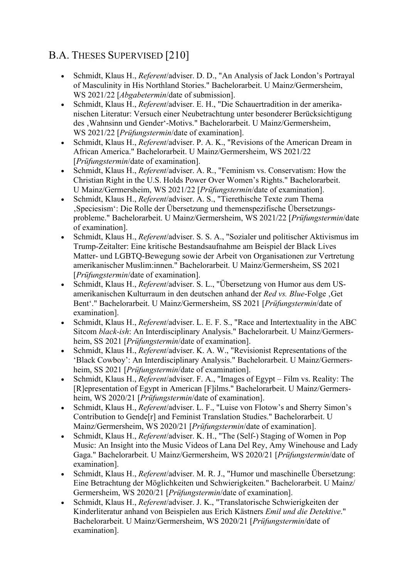# B.A. THESES SUPERVISED [210]

- Schmidt, Klaus H., Referent/adviser. D. D., "An Analysis of Jack London's Portrayal of Masculinity in His Northland Stories." Bachelorarbeit. U Mainz/Germersheim, WS 2021/22 [Abgabetermin/date of submission].
- Schmidt, Klaus H., Referent/adviser. E. H., "Die Schauertradition in der amerikanischen Literatur: Versuch einer Neubetrachtung unter besonderer Berücksichtigung des , Wahnsinn und Gender'-Motivs." Bachelorarbeit. U Mainz/Germersheim, WS 2021/22 [*Prüfungstermin*/date of examination].
- Schmidt, Klaus H., *Referent/adviser. P. A. K.*, "Revisions of the American Dream in African America." Bachelorarbeit. U Mainz/Germersheim, WS 2021/22 [Prüfungstermin/date of examination].
- Schmidt, Klaus H., *Referent*/adviser. A. R., "Feminism vs. Conservatism: How the Christian Right in the U.S. Holds Power Over Women's Rights." Bachelorarbeit. U Mainz/Germersheim, WS 2021/22 [Prüfungstermin/date of examination].
- Schmidt, Klaus H., *Referent/adviser. A. S.*, "Tierethische Texte zum Thema 'Speciesism': Die Rolle der Übersetzung und themenspezifische Übersetzungsprobleme." Bachelorarbeit. U Mainz/Germersheim, WS 2021/22 [Prüfungstermin/date of examination].
- Schmidt, Klaus H., *Referent/adviser. S. S. A.*, "Sozialer und politischer Aktivismus im Trump-Zeitalter: Eine kritische Bestandsaufnahme am Beispiel der Black Lives Matter- und LGBTQ-Bewegung sowie der Arbeit von Organisationen zur Vertretung amerikanischer Muslim:innen." Bachelorarbeit. U Mainz/Germersheim, SS 2021 [Prüfungstermin/date of examination].
- Schmidt, Klaus H., *Referent/adviser. S. L.*, "Übersetzung von Humor aus dem USamerikanischen Kulturraum in den deutschen anhand der Red vs. Blue-Folge, Get Bent'." Bachelorarbeit. U Mainz/Germersheim, SS 2021 [Prüfungstermin/date of examination].
- Schmidt, Klaus H., *Referent/adviser. L. E. F. S.*, "Race and Intertextuality in the ABC Sitcom black-ish: An Interdisciplinary Analysis." Bachelorarbeit. U Mainz/Germersheim, SS 2021 [*Prüfungstermin*/date of examination].
- Schmidt, Klaus H., Referent/adviser. K. A. W., "Revisionist Representations of the 'Black Cowboy': An Interdisciplinary Analysis." Bachelorarbeit. U Mainz/Germersheim, SS 2021 [*Prüfungstermin*/date of examination].
- Schmidt, Klaus H., *Referent/adviser. F. A.*, "Images of Egypt Film vs. Reality: The [R]epresentation of Egypt in American [F]ilms." Bachelorarbeit. U Mainz/Germersheim, WS 2020/21 [*Prüfungstermin*/date of examination].
- Schmidt, Klaus H., Referent/adviser. L. F., "Luise von Flotow's and Sherry Simon's Contribution to Gende[r] and Feminist Translation Studies." Bachelorarbeit. U Mainz/Germersheim, WS 2020/21 [Prüfungstermin/date of examination].
- Schmidt, Klaus H., Referent/adviser. K. H., "The (Self-) Staging of Women in Pop Music: An Insight into the Music Videos of Lana Del Rey, Amy Winehouse and Lady Gaga." Bachelorarbeit. U Mainz/Germersheim, WS 2020/21 [Prüfungstermin/date of examination].
- Schmidt, Klaus H., Referent/adviser. M. R. J., "Humor und maschinelle Übersetzung: Eine Betrachtung der Möglichkeiten und Schwierigkeiten." Bachelorarbeit. U Mainz/ Germersheim, WS 2020/21 [Prüfungstermin/date of examination].
- Schmidt, Klaus H., Referent/adviser. J. K., "Translatorische Schwierigkeiten der Kinderliteratur anhand von Beispielen aus Erich Kästners Emil und die Detektive." Bachelorarbeit. U Mainz/Germersheim, WS 2020/21 [Prüfungstermin/date of examination].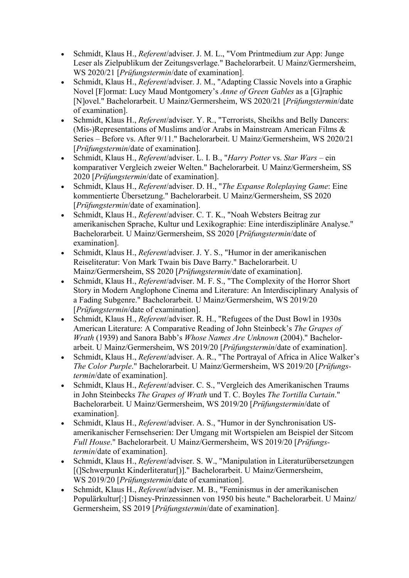- Schmidt, Klaus H., Referent/adviser. J. M. L., "Vom Printmedium zur App: Junge Leser als Zielpublikum der Zeitungsverlage." Bachelorarbeit. U Mainz/Germersheim, WS 2020/21 [*Prüfungstermin*/date of examination].
- Schmidt, Klaus H., *Referent*/adviser. J. M., "Adapting Classic Novels into a Graphic Novel [F]ormat: Lucy Maud Montgomery's Anne of Green Gables as a [G]raphic [N]ovel." Bachelorarbeit. U Mainz/Germersheim, WS 2020/21 [Prüfungstermin/date of examination].
- Schmidt, Klaus H., Referent/adviser. Y. R., "Terrorists, Sheikhs and Belly Dancers: (Mis-)Representations of Muslims and/or Arabs in Mainstream American Films & Series – Before vs. After 9/11." Bachelorarbeit. U Mainz/Germersheim, WS 2020/21 [Prüfungstermin/date of examination].
- Schmidt, Klaus H., Referent/adviser. L. I. B., "Harry Potter vs. Star Wars ein komparativer Vergleich zweier Welten." Bachelorarbeit. U Mainz/Germersheim, SS 2020 [Prüfungstermin/date of examination].
- Schmidt, Klaus H., Referent/adviser. D. H., "The Expanse Roleplaying Game: Eine kommentierte Übersetzung." Bachelorarbeit. U Mainz/Germersheim, SS 2020 [Prüfungstermin/date of examination].
- Schmidt, Klaus H., Referent/adviser. C. T. K., "Noah Websters Beitrag zur amerikanischen Sprache, Kultur und Lexikographie: Eine interdisziplinäre Analyse." Bachelorarbeit. U Mainz/Germersheim, SS 2020 [Prüfungstermin/date of examination].
- Schmidt, Klaus H., Referent/adviser. J. Y. S., "Humor in der amerikanischen Reiseliteratur: Von Mark Twain bis Dave Barry." Bachelorarbeit. U Mainz/Germersheim, SS 2020 [Prüfungstermin/date of examination].
- Schmidt, Klaus H., Referent/adviser. M. F. S., "The Complexity of the Horror Short Story in Modern Anglophone Cinema and Literature: An Interdisciplinary Analysis of a Fading Subgenre." Bachelorarbeit. U Mainz/Germersheim, WS 2019/20 [Prüfungstermin/date of examination].
- Schmidt, Klaus H., *Referent/adviser. R. H.*, "Refugees of the Dust Bowl in 1930s American Literature: A Comparative Reading of John Steinbeck's The Grapes of Wrath (1939) and Sanora Babb's Whose Names Are Unknown (2004)." Bachelorarbeit. U Mainz/Germersheim, WS 2019/20 [Prüfungstermin/date of examination].
- Schmidt, Klaus H., *Referent/adviser. A. R., "The Portrayal of Africa in Alice Walker's* The Color Purple." Bachelorarbeit. U Mainz/Germersheim, WS 2019/20 [Prüfungstermin/date of examination].
- Schmidt, Klaus H., Referent/adviser. C. S., "Vergleich des Amerikanischen Traums in John Steinbecks The Grapes of Wrath und T. C. Boyles The Tortilla Curtain." Bachelorarbeit. U Mainz/Germersheim, WS 2019/20 [Prüfungstermin/date of examination].
- Schmidt, Klaus H., Referent/adviser. A. S., "Humor in der Synchronisation USamerikanischer Fernsehserien: Der Umgang mit Wortspielen am Beispiel der Sitcom Full House." Bachelorarbeit. U Mainz/Germersheim, WS 2019/20 [Prüfungstermin/date of examination].
- Schmidt, Klaus H., Referent/adviser. S. W., "Manipulation in Literaturübersetzungen [(]Schwerpunkt Kinderliteratur[)]." Bachelorarbeit. U Mainz/Germersheim, WS 2019/20 [*Prüfungstermin*/date of examination].
- Schmidt, Klaus H., Referent/adviser. M. B., "Feminismus in der amerikanischen Populärkultur[:] Disney-Prinzessinnen von 1950 bis heute." Bachelorarbeit. U Mainz/ Germersheim, SS 2019 [Prüfungstermin/date of examination].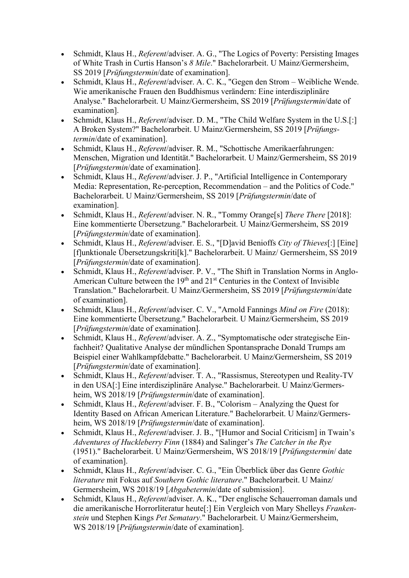- Schmidt, Klaus H., Referent/adviser. A. G., "The Logics of Poverty: Persisting Images of White Trash in Curtis Hanson's 8 Mile." Bachelorarbeit. U Mainz/Germersheim, SS 2019 [Prüfungstermin/date of examination].
- Schmidt, Klaus H., Referent/adviser. A. C. K., "Gegen den Strom Weibliche Wende. Wie amerikanische Frauen den Buddhismus verändern: Eine interdisziplinäre Analyse." Bachelorarbeit. U Mainz/Germersheim, SS 2019 [Prüfungstermin/date of examination].
- Schmidt, Klaus H., *Referent/adviser. D. M.*, "The Child Welfare System in the U.S.[:] A Broken System?" Bachelorarbeit. U Mainz/Germersheim, SS 2019 [Prüfungstermin/date of examination].
- Schmidt, Klaus H., Referent/adviser. R. M., "Schottische Amerikaerfahrungen: Menschen, Migration und Identität." Bachelorarbeit. U Mainz/Germersheim, SS 2019 [Prüfungstermin/date of examination].
- Schmidt, Klaus H., *Referent/adviser. J. P.*, "Artificial Intelligence in Contemporary Media: Representation, Re-perception, Recommendation – and the Politics of Code." Bachelorarbeit. U Mainz/Germersheim, SS 2019 [Prüfungstermin/date of examination].
- Schmidt, Klaus H., Referent/adviser. N. R., "Tommy Orange[s] There There [2018]: Eine kommentierte Übersetzung." Bachelorarbeit. U Mainz/Germersheim, SS 2019 [Prüfungstermin/date of examination].
- Schmidt, Klaus H., Referent/adviser. E. S., "[D]avid Benioffs City of Thieves[:] [Eine] [f]unktionale Übersetzungskriti[k]." Bachelorarbeit. U Mainz/ Germersheim, SS 2019 [Prüfungstermin/date of examination].
- Schmidt, Klaus H., Referent/adviser. P. V., "The Shift in Translation Norms in Anglo-American Culture between the  $19<sup>th</sup>$  and  $21<sup>st</sup>$  Centuries in the Context of Invisible Translation." Bachelorarbeit. U Mainz/Germersheim, SS 2019 [Prüfungstermin/date of examination].
- Schmidt, Klaus H., Referent/adviser. C. V., "Arnold Fannings Mind on Fire (2018): Eine kommentierte Übersetzung." Bachelorarbeit. U Mainz/Germersheim, SS 2019 [Prüfungstermin/date of examination].
- Schmidt, Klaus H., Referent/adviser. A. Z., "Symptomatische oder strategische Einfachheit? Qualitative Analyse der mündlichen Spontansprache Donald Trumps am Beispiel einer Wahlkampfdebatte." Bachelorarbeit. U Mainz/Germersheim, SS 2019 [Prüfungstermin/date of examination].
- Schmidt, Klaus H., Referent/adviser. T. A., "Rassismus, Stereotypen und Reality-TV in den USA[:] Eine interdisziplinäre Analyse." Bachelorarbeit. U Mainz/Germersheim, WS 2018/19 [*Prüfungstermin*/date of examination].
- Schmidt, Klaus H., *Referent*/adviser. F. B., "Colorism Analyzing the Quest for Identity Based on African American Literature." Bachelorarbeit. U Mainz/Germersheim, WS 2018/19 [*Prüfungstermin*/date of examination].
- Schmidt, Klaus H., Referent/adviser. J. B., "[Humor and Social Criticism] in Twain's Adventures of Huckleberry Finn (1884) and Salinger's The Catcher in the Rye (1951)." Bachelorarbeit. U Mainz/Germersheim, WS 2018/19 [Prüfungstermin/ date of examination].
- Schmidt, Klaus H., Referent/adviser. C. G., "Ein Überblick über das Genre Gothic literature mit Fokus auf Southern Gothic literature." Bachelorarbeit. U Mainz/ Germersheim, WS 2018/19 [Abgabetermin/date of submission].
- Schmidt, Klaus H., Referent/adviser. A. K., "Der englische Schauerroman damals und die amerikanische Horrorliteratur heute[:] Ein Vergleich von Mary Shelleys Frankenstein und Stephen Kings Pet Sematary." Bachelorarbeit. U Mainz/Germersheim, WS 2018/19 [*Prüfungstermin*/date of examination].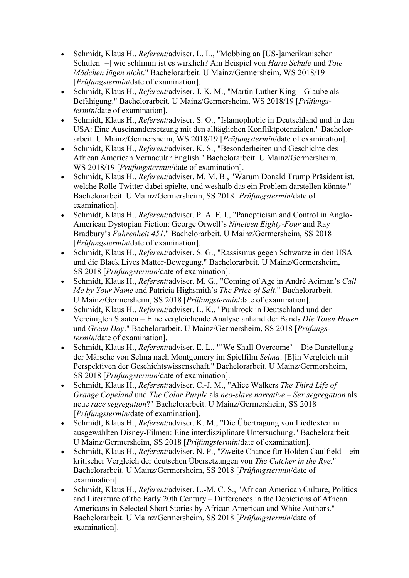- Schmidt, Klaus H., Referent/adviser. L. L., "Mobbing an [US-]amerikanischen Schulen [–] wie schlimm ist es wirklich? Am Beispiel von Harte Schule und Tote Mädchen lügen nicht." Bachelorarbeit. U Mainz/Germersheim, WS 2018/19 [Prüfungstermin/date of examination].
- Schmidt, Klaus H., *Referent/adviser. J. K. M., "Martin Luther King Glaube als* Befähigung." Bachelorarbeit. U Mainz/Germersheim, WS 2018/19 [Prüfungstermin/date of examination].
- Schmidt, Klaus H., Referent/adviser. S. O., "Islamophobie in Deutschland und in den USA: Eine Auseinandersetzung mit den alltäglichen Konfliktpotenzialen." Bachelorarbeit. U Mainz/Germersheim, WS 2018/19 [Prüfungstermin/date of examination].
- Schmidt, Klaus H., Referent/adviser. K. S., "Besonderheiten und Geschichte des African American Vernacular English." Bachelorarbeit. U Mainz/Germersheim, WS 2018/19 [*Prüfungstermin*/date of examination].
- Schmidt, Klaus H., Referent/adviser. M. M. B., "Warum Donald Trump Präsident ist, welche Rolle Twitter dabei spielte, und weshalb das ein Problem darstellen könnte." Bachelorarbeit. U Mainz/Germersheim, SS 2018 [Prüfungstermin/date of examination].
- Schmidt, Klaus H., *Referent*/adviser, P. A. F. I., "Panopticism and Control in Anglo-American Dystopian Fiction: George Orwell's Nineteen Eighty-Four and Ray Bradbury's Fahrenheit 451." Bachelorarbeit. U Mainz/Germersheim, SS 2018 [Prüfungstermin/date of examination].
- Schmidt, Klaus H., Referent/adviser. S. G., "Rassismus gegen Schwarze in den USA und die Black Lives Matter-Bewegung." Bachelorarbeit. U Mainz/Germersheim, SS 2018 [Prüfungstermin/date of examination].
- Schmidt, Klaus H., Referent/adviser. M. G., "Coming of Age in André Aciman's Call Me by Your Name and Patricia Highsmith's The Price of Salt." Bachelorarbeit. U Mainz/Germersheim, SS 2018 [Prüfungstermin/date of examination].
- Schmidt, Klaus H., Referent/adviser. L. K., "Punkrock in Deutschland und den Vereinigten Staaten – Eine vergleichende Analyse anhand der Bands Die Toten Hosen und Green Day." Bachelorarbeit. U Mainz/Germersheim, SS 2018 [Prüfungstermin/date of examination].
- Schmidt, Klaus H., Referent/adviser. E. L., "'We Shall Overcome' Die Darstellung der Märsche von Selma nach Montgomery im Spielfilm Selma: [E]in Vergleich mit Perspektiven der Geschichtswissenschaft." Bachelorarbeit. U Mainz/Germersheim, SS 2018 [Prüfungstermin/date of examination].
- Schmidt, Klaus H., Referent/adviser. C.-J. M., "Alice Walkers The Third Life of Grange Copeland und The Color Purple als neo-slave narrative – Sex segregation als neue race segregation?" Bachelorarbeit. U Mainz/Germersheim, SS 2018 [Prüfungstermin/date of examination].
- Schmidt, Klaus H., *Referent/adviser. K. M., "Die Übertragung von Liedtexten in* ausgewählten Disney-Filmen: Eine interdisziplinäre Untersuchung." Bachelorarbeit. U Mainz/Germersheim, SS 2018 [Prüfungstermin/date of examination].
- Schmidt, Klaus H.,  $Referent/adviser. N. P., "Zweite Chance für Holden Caulfield ein"$ kritischer Vergleich der deutschen Übersetzungen von The Catcher in the Rye." Bachelorarbeit. U Mainz/Germersheim, SS 2018 [Prüfungstermin/date of examination].
- Schmidt, Klaus H., Referent/adviser. L.-M. C. S., "African American Culture, Politics and Literature of the Early 20th Century – Differences in the Depictions of African Americans in Selected Short Stories by African American and White Authors." Bachelorarbeit. U Mainz/Germersheim, SS 2018 [Prüfungstermin/date of examination].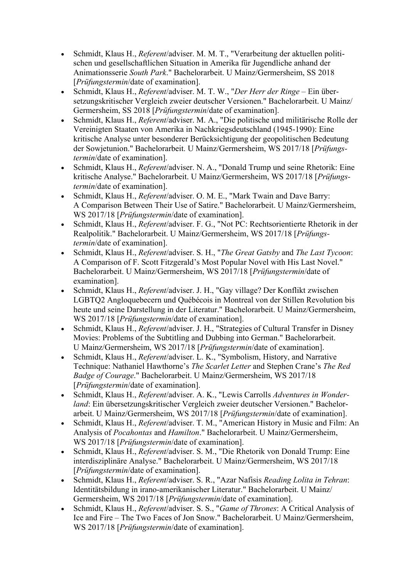- Schmidt, Klaus H., Referent/adviser. M. M. T., "Verarbeitung der aktuellen politischen und gesellschaftlichen Situation in Amerika für Jugendliche anhand der Animationsserie South Park." Bachelorarbeit. U Mainz/Germersheim, SS 2018 [Prüfungstermin/date of examination].
- Schmidt, Klaus H., Referent/adviser. M. T. W., "Der Herr der Ringe Ein übersetzungskritischer Vergleich zweier deutscher Versionen." Bachelorarbeit. U Mainz/ Germersheim, SS 2018 [Prüfungstermin/date of examination].
- Schmidt, Klaus H., Referent/adviser. M. A., "Die politische und militärische Rolle der Vereinigten Staaten von Amerika in Nachkriegsdeutschland (1945-1990): Eine kritische Analyse unter besonderer Berücksichtigung der geopolitischen Bedeutung der Sowjetunion." Bachelorarbeit. U Mainz/Germersheim, WS 2017/18 [Prüfungstermin/date of examination].
- Schmidt, Klaus H., Referent/adviser. N. A., "Donald Trump und seine Rhetorik: Eine kritische Analyse." Bachelorarbeit. U Mainz/Germersheim, WS 2017/18 [Prüfungstermin/date of examination].
- Schmidt, Klaus H., Referent/adviser. O. M. E., "Mark Twain and Dave Barry: A Comparison Between Their Use of Satire." Bachelorarbeit. U Mainz/Germersheim, WS 2017/18 [*Prüfungstermin*/date of examination].
- Schmidt, Klaus H., Referent/adviser. F. G., "Not PC: Rechtsorientierte Rhetorik in der Realpolitik." Bachelorarbeit. U Mainz/Germersheim, WS 2017/18 [Prüfungstermin/date of examination].
- Schmidt, Klaus H., Referent/adviser. S. H., "The Great Gatsby and The Last Tycoon: A Comparison of F. Scott Fitzgerald's Most Popular Novel with His Last Novel." Bachelorarbeit. U Mainz/Germersheim, WS 2017/18 [Prüfungstermin/date of examination].
- Schmidt, Klaus H., *Referent/adviser. J. H., "Gay village? Der Konflikt zwischen* LGBTQ2 Angloquebecern und Québécois in Montreal von der Stillen Revolution bis heute und seine Darstellung in der Literatur." Bachelorarbeit. U Mainz/Germersheim, WS 2017/18 [*Prüfungstermin*/date of examination].
- Schmidt, Klaus H., *Referent/adviser. J. H.*, "Strategies of Cultural Transfer in Disney Movies: Problems of the Subtitling and Dubbing into German." Bachelorarbeit. U Mainz/Germersheim, WS 2017/18 [Prüfungstermin/date of examination].
- Schmidt, Klaus H., *Referent*/adviser. L. K., "Symbolism, History, and Narrative Technique: Nathaniel Hawthorne's The Scarlet Letter and Stephen Crane's The Red Badge of Courage." Bachelorarbeit. U Mainz/Germersheim, WS 2017/18 [Prüfungstermin/date of examination].
- Schmidt, Klaus H., Referent/adviser. A. K., "Lewis Carrolls Adventures in Wonderland: Ein übersetzungskritischer Vergleich zweier deutscher Versionen." Bachelorarbeit. U Mainz/Germersheim, WS 2017/18 [Prüfungstermin/date of examination].
- Schmidt, Klaus H., Referent/adviser. T. M., "American History in Music and Film: An Analysis of Pocahontas and Hamilton." Bachelorarbeit. U Mainz/Germersheim, WS 2017/18 [*Prüfungstermin*/date of examination].
- Schmidt, Klaus H., Referent/adviser. S. M., "Die Rhetorik von Donald Trump: Eine interdisziplinäre Analyse." Bachelorarbeit. U Mainz/Germersheim, WS 2017/18 [Prüfungstermin/date of examination].
- Schmidt, Klaus H., Referent/adviser. S. R., "Azar Nafisis Reading Lolita in Tehran: Identitätsbildung in irano-amerikanischer Literatur." Bachelorarbeit. U Mainz/ Germersheim, WS 2017/18 [Prüfungstermin/date of examination].
- Schmidt, Klaus H., Referent/adviser. S. S., "Game of Thrones: A Critical Analysis of Ice and Fire – The Two Faces of Jon Snow." Bachelorarbeit. U Mainz/Germersheim, WS 2017/18 [*Prüfungstermin*/date of examination].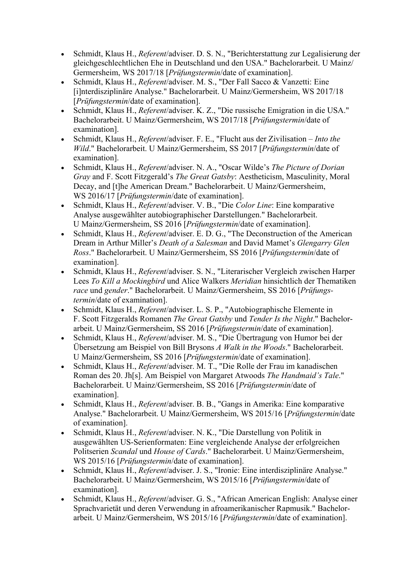- Schmidt, Klaus H., *Referent/adviser. D. S. N.*, "Berichterstattung zur Legalisierung der gleichgeschlechtlichen Ehe in Deutschland und den USA." Bachelorarbeit. U Mainz/ Germersheim, WS 2017/18 [Prüfungstermin/date of examination].
- Schmidt, Klaus H., Referent/adviser. M. S., "Der Fall Sacco & Vanzetti: Eine [i]nterdisziplinäre Analyse." Bachelorarbeit. U Mainz/Germersheim, WS 2017/18 [Prüfungstermin/date of examination].
- Schmidt, Klaus H., Referent/adviser. K. Z., "Die russische Emigration in die USA." Bachelorarbeit. U Mainz/Germersheim, WS 2017/18 [Prüfungstermin/date of examination].
- Schmidt, Klaus H., Referent/adviser. F. E., "Flucht aus der Zivilisation Into the Wild." Bachelorarbeit. U Mainz/Germersheim, SS 2017 [Prüfungstermin/date of examination].
- Schmidt, Klaus H., Referent/adviser. N. A., "Oscar Wilde's The Picture of Dorian Gray and F. Scott Fitzgerald's The Great Gatsby: Aestheticism, Masculinity, Moral Decay, and [t]he American Dream." Bachelorarbeit. U Mainz/Germersheim, WS 2016/17 [*Prüfungstermin*/date of examination].
- Schmidt, Klaus H., Referent/adviser. V. B., "Die Color Line: Eine komparative Analyse ausgewählter autobiographischer Darstellungen." Bachelorarbeit. U Mainz/Germersheim, SS 2016 [Prüfungstermin/date of examination].
- Schmidt, Klaus H., Referent/adviser. E. D. G., "The Deconstruction of the American Dream in Arthur Miller's Death of a Salesman and David Mamet's Glengarry Glen Ross." Bachelorarbeit. U Mainz/Germersheim, SS 2016 [Prüfungstermin/date of examination].
- Schmidt, Klaus H., Referent/adviser. S. N., "Literarischer Vergleich zwischen Harper Lees To Kill a Mockingbird und Alice Walkers Meridian hinsichtlich der Thematiken race und gender." Bachelorarbeit. U Mainz/Germersheim, SS 2016 [Prüfungstermin/date of examination].
- Schmidt, Klaus H., Referent/adviser. L. S. P., "Autobiographische Elemente in F. Scott Fitzgeralds Romanen The Great Gatsby und Tender Is the Night." Bachelorarbeit. U Mainz/Germersheim, SS 2016 [Prüfungstermin/date of examination].
- Schmidt, Klaus H., *Referent/adviser. M. S.*, "Die Übertragung von Humor bei der Übersetzung am Beispiel von Bill Brysons A Walk in the Woods." Bachelorarbeit. U Mainz/Germersheim, SS 2016 [Prüfungstermin/date of examination].
- Schmidt, Klaus H., Referent/adviser. M. T., "Die Rolle der Frau im kanadischen Roman des 20. Jh[s]. Am Beispiel von Margaret Atwoods The Handmaid's Tale." Bachelorarbeit. U Mainz/Germersheim, SS 2016 [Prüfungstermin/date of examination].
- Schmidt, Klaus H., *Referent*/adviser, B. B., "Gangs in Amerika: Eine komparative Analyse." Bachelorarbeit. U Mainz/Germersheim, WS 2015/16 [Prüfungstermin/date of examination].
- Schmidt, Klaus H., Referent/adviser. N. K., "Die Darstellung von Politik in ausgewählten US-Serienformaten: Eine vergleichende Analyse der erfolgreichen Politserien Scandal und House of Cards." Bachelorarbeit. U Mainz/Germersheim, WS 2015/16 [*Prüfungstermin*/date of examination].
- Schmidt, Klaus H., Referent/adviser. J. S., "Ironie: Eine interdisziplinäre Analyse." Bachelorarbeit. U Mainz/Germersheim, WS 2015/16 [Prüfungstermin/date of examination].
- Schmidt, Klaus H., Referent/adviser. G. S., "African American English: Analyse einer Sprachvarietät und deren Verwendung in afroamerikanischer Rapmusik." Bachelorarbeit. U Mainz/Germersheim, WS 2015/16 [Prüfungstermin/date of examination].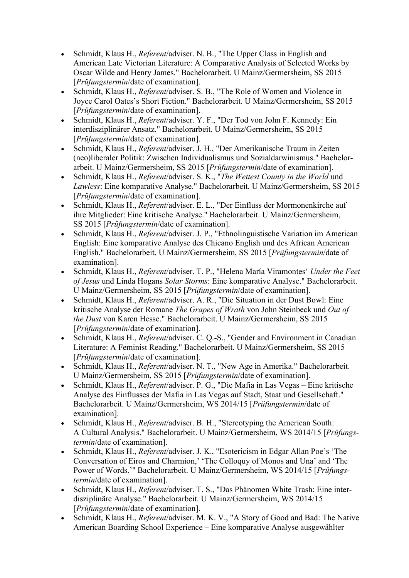- Schmidt, Klaus H., Referent/adviser. N. B., "The Upper Class in English and American Late Victorian Literature: A Comparative Analysis of Selected Works by Oscar Wilde and Henry James." Bachelorarbeit. U Mainz/Germersheim, SS 2015 [Prüfungstermin/date of examination].
- Schmidt, Klaus H., *Referent/adviser.* S. B., "The Role of Women and Violence in Joyce Carol Oates's Short Fiction." Bachelorarbeit. U Mainz/Germersheim, SS 2015 [Prüfungstermin/date of examination].
- Schmidt, Klaus H., *Referent*/adviser. Y. F., "Der Tod von John F. Kennedy: Ein interdisziplinärer Ansatz." Bachelorarbeit. U Mainz/Germersheim, SS 2015 [Prüfungstermin/date of examination].
- Schmidt, Klaus H., Referent/adviser. J. H., "Der Amerikanische Traum in Zeiten (neo)liberaler Politik: Zwischen Individualismus und Sozialdarwinismus." Bachelorarbeit. U Mainz/Germersheim, SS 2015 [Prüfungstermin/date of examination].
- Schmidt, Klaus H.,  $Referent/adviser. S. K., "The *Wettest County in the World* und$ Lawless: Eine komparative Analyse." Bachelorarbeit. U Mainz/Germersheim, SS 2015 [Prüfungstermin/date of examination].
- Schmidt, Klaus H., Referent/adviser. E. L., "Der Einfluss der Mormonenkirche auf ihre Mitglieder: Eine kritische Analyse." Bachelorarbeit. U Mainz/Germersheim, SS 2015 [Prüfungstermin/date of examination].
- Schmidt, Klaus H., Referent/adviser. J. P., "Ethnolinguistische Variation im American English: Eine komparative Analyse des Chicano English und des African American English." Bachelorarbeit. U Mainz/Germersheim, SS 2015 [Prüfungstermin/date of examination].
- Schmidt, Klaus H., Referent/adviser. T. P., "Helena María Viramontes' Under the Feet of Jesus und Linda Hogans Solar Storms: Eine komparative Analyse." Bachelorarbeit. U Mainz/Germersheim, SS 2015 [Prüfungstermin/date of examination].
- Schmidt, Klaus H., Referent/adviser. A. R., "Die Situation in der Dust Bowl: Eine kritische Analyse der Romane The Grapes of Wrath von John Steinbeck und Out of the Dust von Karen Hesse." Bachelorarbeit. U Mainz/Germersheim, SS 2015 [Prüfungstermin/date of examination].
- Schmidt, Klaus H., Referent/adviser. C. Q.-S., "Gender and Environment in Canadian Literature: A Feminist Reading." Bachelorarbeit. U Mainz/Germersheim, SS 2015 [Prüfungstermin/date of examination].
- Schmidt, Klaus H., Referent/adviser. N. T., "New Age in Amerika." Bachelorarbeit. U Mainz/Germersheim, SS 2015 [Prüfungstermin/date of examination].
- Schmidt, Klaus H., Referent/adviser. P. G., "Die Mafia in Las Vegas Eine kritische Analyse des Einflusses der Mafia in Las Vegas auf Stadt, Staat und Gesellschaft." Bachelorarbeit. U Mainz/Germersheim, WS 2014/15 [Prüfungstermin/date of examination].
- Schmidt, Klaus H., *Referent/adviser. B. H.*, "Stereotyping the American South: A Cultural Analysis." Bachelorarbeit. U Mainz/Germersheim, WS 2014/15 [Prüfungstermin/date of examination].
- Schmidt, Klaus H., Referent/adviser. J. K., "Esotericism in Edgar Allan Poe's 'The Conversation of Eiros and Charmion,' 'The Colloquy of Monos and Una' and 'The Power of Words.'" Bachelorarbeit. U Mainz/Germersheim, WS 2014/15 [Prüfungstermin/date of examination].
- Schmidt, Klaus H., Referent/adviser. T. S., "Das Phänomen White Trash: Eine interdisziplinäre Analyse." Bachelorarbeit. U Mainz/Germersheim, WS 2014/15 [Prüfungstermin/date of examination].
- Schmidt, Klaus H., *Referent/adviser. M. K. V., "A Story of Good and Bad: The Native* American Boarding School Experience – Eine komparative Analyse ausgewählter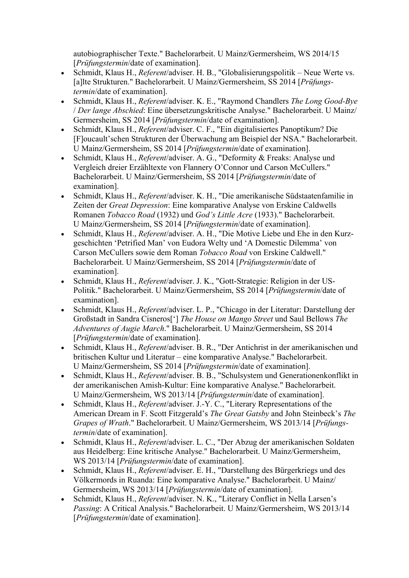autobiographischer Texte." Bachelorarbeit. U Mainz/Germersheim, WS 2014/15 [Prüfungstermin/date of examination].

- Schmidt, Klaus H., Referent/adviser. H. B., "Globalisierungspolitik Neue Werte vs. [a]lte Strukturen." Bachelorarbeit. U Mainz/Germersheim, SS 2014 [Prüfungstermin/date of examination].
- Schmidt, Klaus H., Referent/adviser. K. E., "Raymond Chandlers The Long Good-Bye / Der lange Abschied: Eine übersetzungskritische Analyse." Bachelorarbeit. U Mainz/ Germersheim, SS 2014 [Prüfungstermin/date of examination].
- Schmidt, Klaus H., Referent/adviser. C. F., "Ein digitalisiertes Panoptikum? Die [F]oucault'schen Strukturen der Überwachung am Beispiel der NSA." Bachelorarbeit. U Mainz/Germersheim, SS 2014 [Prüfungstermin/date of examination].
- Schmidt, Klaus H., Referent/adviser. A. G., "Deformity & Freaks: Analyse und Vergleich dreier Erzähltexte von Flannery O'Connor und Carson McCullers." Bachelorarbeit. U Mainz/Germersheim, SS 2014 [Prüfungstermin/date of examination].
- Schmidt, Klaus H., Referent/adviser. K. H., "Die amerikanische Südstaatenfamilie in Zeiten der Great Depression: Eine komparative Analyse von Erskine Caldwells Romanen Tobacco Road (1932) und God's Little Acre (1933)." Bachelorarbeit. U Mainz/Germersheim, SS 2014 [Prüfungstermin/date of examination].
- Schmidt, Klaus H., Referent/adviser. A. H., "Die Motive Liebe und Ehe in den Kurzgeschichten 'Petrified Man' von Eudora Welty und 'A Domestic Dilemma' von Carson McCullers sowie dem Roman Tobacco Road von Erskine Caldwell." Bachelorarbeit. U Mainz/Germersheim, SS 2014 [Prüfungstermin/date of examination].
- Schmidt, Klaus H., Referent/adviser. J. K., "Gott-Strategie: Religion in der US-Politik." Bachelorarbeit. U Mainz/Germersheim, SS 2014 [Prüfungstermin/date of examination].
- Schmidt, Klaus H., *Referent/adviser. L. P.*, "Chicago in der Literatur: Darstellung der Großstadt in Sandra Cisneros['] The House on Mango Street und Saul Bellows The Adventures of Augie March." Bachelorarbeit. U Mainz/Germersheim, SS 2014 [Prüfungstermin/date of examination].
- Schmidt, Klaus H., Referent/adviser. B. R., "Der Antichrist in der amerikanischen und britischen Kultur und Literatur – eine komparative Analyse." Bachelorarbeit. U Mainz/Germersheim, SS 2014 [Prüfungstermin/date of examination].
- Schmidt, Klaus H., Referent/adviser. B. B., "Schulsystem und Generationenkonflikt in der amerikanischen Amish-Kultur: Eine komparative Analyse." Bachelorarbeit. U Mainz/Germersheim, WS 2013/14 [Prüfungstermin/date of examination].
- Schmidt, Klaus H., *Referent/adviser. J.-Y. C.*, "Literary Representations of the American Dream in F. Scott Fitzgerald's The Great Gatsby and John Steinbeck's The Grapes of Wrath." Bachelorarbeit. U Mainz/Germersheim, WS 2013/14 [Prüfungstermin/date of examination].
- Schmidt, Klaus H., Referent/adviser. L. C., "Der Abzug der amerikanischen Soldaten aus Heidelberg: Eine kritische Analyse." Bachelorarbeit. U Mainz/Germersheim, WS 2013/14 [Prüfungstermin/date of examination].
- Schmidt, Klaus H., Referent/adviser. E. H., "Darstellung des Bürgerkriegs und des Völkermords in Ruanda: Eine komparative Analyse." Bachelorarbeit. U Mainz/ Germersheim, WS 2013/14 [Prüfungstermin/date of examination].
- Schmidt, Klaus H., Referent/adviser. N. K., "Literary Conflict in Nella Larsen's Passing: A Critical Analysis." Bachelorarbeit. U Mainz/Germersheim, WS 2013/14 [Prüfungstermin/date of examination].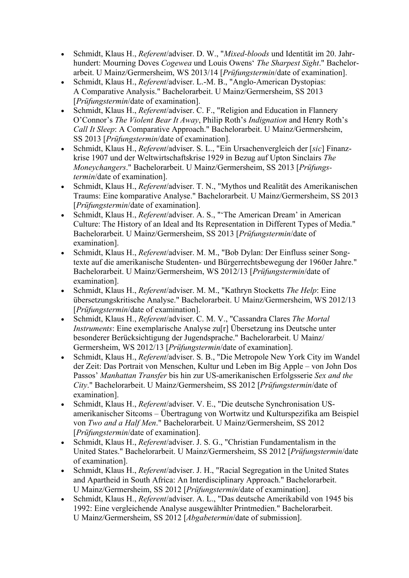- Schmidt, Klaus H., Referent/adviser. D. W., "Mixed-bloods und Identität im 20. Jahrhundert: Mourning Doves Cogewea und Louis Owens' The Sharpest Sight." Bachelorarbeit. U Mainz/Germersheim, WS 2013/14 [Prüfungstermin/date of examination].
- Schmidt, Klaus H., *Referent*/adviser. L.-M. B., "Anglo-American Dystopias: A Comparative Analysis." Bachelorarbeit. U Mainz/Germersheim, SS 2013 [Prüfungstermin/date of examination].
- Schmidt, Klaus H., *Referent*/adviser. C. F., "Religion and Education in Flannery O'Connor's The Violent Bear It Away, Philip Roth's Indignation and Henry Roth's Call It Sleep: A Comparative Approach." Bachelorarbeit. U Mainz/Germersheim, SS 2013 [Prüfungstermin/date of examination].
- Schmidt, Klaus H., Referent/adviser. S. L., "Ein Ursachenvergleich der [sic] Finanzkrise 1907 und der Weltwirtschaftskrise 1929 in Bezug auf Upton Sinclairs The Moneychangers." Bachelorarbeit. U Mainz/Germersheim, SS 2013 [Prüfungstermin/date of examination].
- Schmidt, Klaus H., *Referent/adviser. T. N., "Mythos und Realität des Amerikanischen* Traums: Eine komparative Analyse." Bachelorarbeit. U Mainz/Germersheim, SS 2013 [Prüfungstermin/date of examination].
- Schmidt, Klaus H., *Referent/adviser. A. S.*, "'The American Dream' in American Culture: The History of an Ideal and Its Representation in Different Types of Media." Bachelorarbeit. U Mainz/Germersheim, SS 2013 [Prüfungstermin/date of examination].
- Schmidt, Klaus H., Referent/adviser. M. M., "Bob Dylan: Der Einfluss seiner Songtexte auf die amerikanische Studenten- und Bürgerrechtsbewegung der 1960er Jahre." Bachelorarbeit. U Mainz/Germersheim, WS 2012/13 [Prüfungstermin/date of examination].
- Schmidt, Klaus H., Referent/adviser. M. M., "Kathryn Stocketts The Help: Eine übersetzungskritische Analyse." Bachelorarbeit. U Mainz/Germersheim, WS 2012/13 [Prüfungstermin/date of examination].
- Schmidt, Klaus H., Referent/adviser. C. M. V., "Cassandra Clares The Mortal Instruments: Eine exemplarische Analyse zu[r] Übersetzung ins Deutsche unter besonderer Berücksichtigung der Jugendsprache." Bachelorarbeit. U Mainz/ Germersheim, WS 2012/13 [Prüfungstermin/date of examination].
- Schmidt, Klaus H., *Referent/adviser. S. B.*, "Die Metropole New York City im Wandel der Zeit: Das Portrait von Menschen, Kultur und Leben im Big Apple – von John Dos Passos' Manhattan Transfer bis hin zur US-amerikanischen Erfolgsserie Sex and the City." Bachelorarbeit. U Mainz/Germersheim, SS 2012 [Prüfungstermin/date of examination].
- Schmidt, Klaus H., Referent/adviser. V. E., "Die deutsche Synchronisation USamerikanischer Sitcoms – Übertragung von Wortwitz und Kulturspezifika am Beispiel von Two and a Half Men." Bachelorarbeit. U Mainz/Germersheim, SS 2012 [Prüfungstermin/date of examination].
- Schmidt, Klaus H., Referent/adviser. J. S. G., "Christian Fundamentalism in the United States." Bachelorarbeit. U Mainz/Germersheim, SS 2012 [Prüfungstermin/date of examination].
- Schmidt, Klaus H., Referent/adviser. J. H., "Racial Segregation in the United States and Apartheid in South Africa: An Interdisciplinary Approach." Bachelorarbeit. U Mainz/Germersheim, SS 2012 [Prüfungstermin/date of examination].
- Schmidt, Klaus H., Referent/adviser. A. L., "Das deutsche Amerikabild von 1945 bis 1992: Eine vergleichende Analyse ausgewählter Printmedien." Bachelorarbeit. U Mainz/Germersheim, SS 2012 [Abgabetermin/date of submission].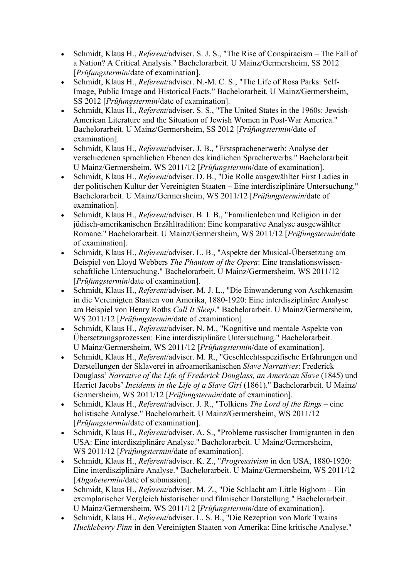- Schmidt, Klaus H., Referent/adviser. S. J. S., "The Rise of Conspiracism The Fall of a Nation? A Critical Analysis." Bachelorarbeit. U Mainz/Germersheim, SS 2012 [Prüfungstermin/date of examination].
- Schmidt, Klaus H., Referent/adviser. N.-M. C. S., "The Life of Rosa Parks: Self-Image, Public Image and Historical Facts." Bachelorarbeit. U Mainz/Germersheim, SS 2012 [Prüfungstermin/date of examination].
- Schmidt, Klaus H., Referent/adviser. S. S., "The United States in the 1960s: Jewish-American Literature and the Situation of Jewish Women in Post-War America." Bachelorarbeit. U Mainz/Germersheim, SS 2012 [Prüfungstermin/date of examination].
- Schmidt, Klaus H., Referent/adviser. J. B., "Erstsprachenerwerb: Analyse der verschiedenen sprachlichen Ebenen des kindlichen Spracherwerbs." Bachelorarbeit. U Mainz/Germersheim, WS 2011/12 [Prüfungstermin/date of examination].
- Schmidt, Klaus H., Referent/adviser. D. B., "Die Rolle ausgewählter First Ladies in der politischen Kultur der Vereinigten Staaten – Eine interdisziplinäre Untersuchung." Bachelorarbeit. U Mainz/Germersheim, WS 2011/12 [Prüfungstermin/date of examination].
- Schmidt, Klaus H., *Referent/adviser. B. I. B., "Familienleben und Religion in der* jüdisch-amerikanischen Erzähltradition: Eine komparative Analyse ausgewählter Romane." Bachelorarbeit. U Mainz/Germersheim, WS 2011/12 [Prüfungstermin/date of examination].
- Schmidt, Klaus H., *Referent/adviser. L. B.*, "Aspekte der Musical-Übersetzung am Beispiel von Lloyd Webbers The Phantom of the Opera: Eine translationswissenschaftliche Untersuchung." Bachelorarbeit. U Mainz/Germersheim, WS 2011/12 [Prüfungstermin/date of examination].
- Schmidt, Klaus H., *Referent*/adviser. M. J. L., "Die Einwanderung von Aschkenasim in die Vereinigten Staaten von Amerika, 1880-1920: Eine interdisziplinäre Analyse am Beispiel von Henry Roths Call It Sleep." Bachelorarbeit. U Mainz/Germersheim, WS 2011/12 [*Prüfungstermin*/date of examination].
- Schmidt, Klaus H., *Referent/adviser. N. M.*, "Kognitive und mentale Aspekte von Übersetzungsprozessen: Eine interdisziplinäre Untersuchung." Bachelorarbeit. U Mainz/Germersheim, WS 2011/12 [Prüfungstermin/date of examination].
- Schmidt, Klaus H., Referent/adviser. M. R., "Geschlechtsspezifische Erfahrungen und Darstellungen der Sklaverei in afroamerikanischen Slave Narratives: Frederick Douglass' Narrative of the Life of Frederick Douglass, an American Slave (1845) und Harriet Jacobs' Incidents in the Life of a Slave Girl (1861)." Bachelorarbeit. U Mainz/ Germersheim, WS 2011/12 [Prüfungstermin/date of examination].
- Schmidt, Klaus H.,  $Referent/adviser. J. R., "Tolkiens *The Lord of the Rings* eine$ holistische Analyse." Bachelorarbeit. U Mainz/Germersheim, WS 2011/12 [Prüfungstermin/date of examination].
- Schmidt, Klaus H., Referent/adviser. A. S., "Probleme russischer Immigranten in den USA: Eine interdisziplinäre Analyse." Bachelorarbeit. U Mainz/Germersheim, WS 2011/12 [*Prüfungstermin*/date of examination].
- Schmidt, Klaus H., Referent/adviser. K. Z., "Progressivism in den USA, 1880-1920: Eine interdisziplinäre Analyse." Bachelorarbeit. U Mainz/Germersheim, WS 2011/12 [*Abgabetermin*/date of submission].
- Schmidt, Klaus H., Referent/adviser. M. Z., "Die Schlacht am Little Bighorn Ein exemplarischer Vergleich historischer und filmischer Darstellung." Bachelorarbeit. U Mainz/Germersheim, WS 2011/12 [Prüfungstermin/date of examination].
- Schmidt, Klaus H., *Referent/adviser. L. S. B.*, "Die Rezeption von Mark Twains Huckleberry Finn in den Vereinigten Staaten von Amerika: Eine kritische Analyse."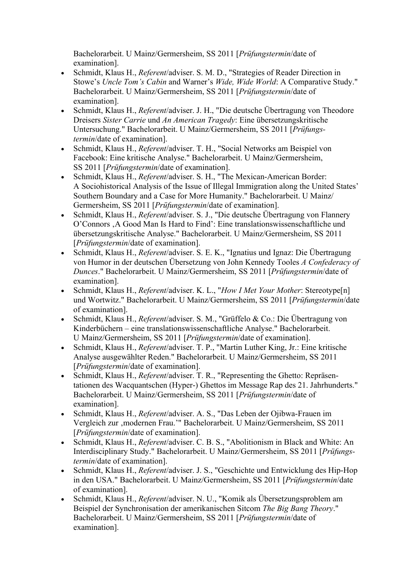Bachelorarbeit. U Mainz/Germersheim, SS 2011 [Prüfungstermin/date of examination].

- Schmidt, Klaus H., *Referent*/adviser, S. M. D., "Strategies of Reader Direction in Stowe's Uncle Tom's Cabin and Warner's Wide, Wide World: A Comparative Study." Bachelorarbeit. U Mainz/Germersheim, SS 2011 [Prüfungstermin/date of examination].
- Schmidt, Klaus H., *Referent/adviser. J. H.*, "Die deutsche Übertragung von Theodore Dreisers Sister Carrie und An American Tragedy: Eine übersetzungskritische Untersuchung." Bachelorarbeit. U Mainz/Germersheim, SS 2011 [Prüfungstermin/date of examination].
- Schmidt, Klaus H., *Referent/adviser. T. H.*, "Social Networks am Beispiel von Facebook: Eine kritische Analyse." Bachelorarbeit. U Mainz/Germersheim, SS 2011 [Prüfungstermin/date of examination].
- Schmidt, Klaus H., Referent/adviser. S. H., "The Mexican-American Border: A Sociohistorical Analysis of the Issue of Illegal Immigration along the United States' Southern Boundary and a Case for More Humanity." Bachelorarbeit. U Mainz/ Germersheim, SS 2011 [Prüfungstermin/date of examination].
- Schmidt, Klaus H., *Referent/adviser. S. J.*, "Die deutsche Übertragung von Flannery O'Connors 'A Good Man Is Hard to Find': Eine translationswissenschaftliche und übersetzungskritische Analyse." Bachelorarbeit. U Mainz/Germersheim, SS 2011 [Prüfungstermin/date of examination].
- Schmidt, Klaus H., Referent/adviser. S. E. K., "Ignatius und Ignaz: Die Übertragung von Humor in der deutschen Übersetzung von John Kennedy Tooles A Confederacy of Dunces." Bachelorarbeit. U Mainz/Germersheim, SS 2011 [Prüfungstermin/date of examination].
- Schmidt, Klaus H., Referent/adviser. K. L., "How I Met Your Mother: Stereotype[n] und Wortwitz." Bachelorarbeit. U Mainz/Germersheim, SS 2011 [Prüfungstermin/date of examination].
- Schmidt, Klaus H., Referent/adviser. S. M., "Grüffelo & Co.: Die Übertragung von Kinderbüchern – eine translationswissenschaftliche Analyse." Bachelorarbeit. U Mainz/Germersheim, SS 2011 [Prüfungstermin/date of examination].
- Schmidt, Klaus H., Referent/adviser. T. P., "Martin Luther King, Jr.: Eine kritische Analyse ausgewählter Reden." Bachelorarbeit. U Mainz/Germersheim, SS 2011 [Prüfungstermin/date of examination].
- Schmidt, Klaus H., *Referent/adviser. T. R.*, "Representing the Ghetto: Repräsentationen des Wacquantschen (Hyper-) Ghettos im Message Rap des 21. Jahrhunderts." Bachelorarbeit. U Mainz/Germersheim, SS 2011 [Prüfungstermin/date of examination].
- Schmidt, Klaus H., *Referent/adviser. A. S.*, "Das Leben der Ojibwa-Frauen im Vergleich zur 'modernen Frau.'" Bachelorarbeit. U Mainz/Germersheim, SS 2011 [Prüfungstermin/date of examination].
- Schmidt, Klaus H., Referent/adviser. C. B. S., "Abolitionism in Black and White: An Interdisciplinary Study." Bachelorarbeit. U Mainz/Germersheim, SS 2011 [Prüfungstermin/date of examination].
- Schmidt, Klaus H., *Referent/adviser. J. S.*, "Geschichte und Entwicklung des Hip-Hop in den USA." Bachelorarbeit. U Mainz/Germersheim, SS 2011 [Prüfungstermin/date of examination].
- Schmidt, Klaus H., Referent/adviser. N. U., "Komik als Übersetzungsproblem am Beispiel der Synchronisation der amerikanischen Sitcom The Big Bang Theory." Bachelorarbeit. U Mainz/Germersheim, SS 2011 [Prüfungstermin/date of examination].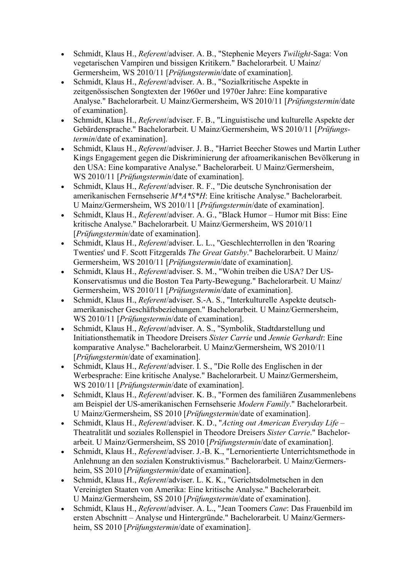- Schmidt, Klaus H., Referent/adviser. A. B., "Stephenie Meyers Twilight-Saga: Von vegetarischen Vampiren und bissigen Kritikern." Bachelorarbeit. U Mainz/ Germersheim, WS 2010/11 [Prüfungstermin/date of examination].
- Schmidt, Klaus H., Referent/adviser. A. B., "Sozialkritische Aspekte in zeitgenössischen Songtexten der 1960er und 1970er Jahre: Eine komparative Analyse." Bachelorarbeit. U Mainz/Germersheim, WS 2010/11 [Prüfungstermin/date of examination].
- Schmidt, Klaus H., *Referent/adviser. F. B.*, "Linguistische und kulturelle Aspekte der Gebärdensprache." Bachelorarbeit. U Mainz/Germersheim, WS 2010/11 [Prüfungstermin/date of examination].
- Schmidt, Klaus H., Referent/adviser. J. B., "Harriet Beecher Stowes und Martin Luther Kings Engagement gegen die Diskriminierung der afroamerikanischen Bevölkerung in den USA: Eine komparative Analyse." Bachelorarbeit. U Mainz/Germersheim, WS 2010/11 [*Prüfungstermin*/date of examination].
- Schmidt, Klaus H., Referent/adviser. R. F., "Die deutsche Synchronisation der amerikanischen Fernsehserie M\*A\*S\*H: Eine kritische Analyse." Bachelorarbeit. U Mainz/Germersheim, WS 2010/11 [Prüfungstermin/date of examination].
- Schmidt, Klaus H., Referent/adviser. A. G., "Black Humor Humor mit Biss: Eine kritische Analyse." Bachelorarbeit. U Mainz/Germersheim, WS 2010/11 [Prüfungstermin/date of examination].
- Schmidt, Klaus H., Referent/adviser. L. L., "Geschlechterrollen in den 'Roaring Twenties' und F. Scott Fitzgeralds The Great Gatsby." Bachelorarbeit. U Mainz/ Germersheim, WS 2010/11 [Prüfungstermin/date of examination].
- Schmidt, Klaus H., Referent/adviser. S. M., "Wohin treiben die USA? Der US-Konservatismus und die Boston Tea Party-Bewegung." Bachelorarbeit. U Mainz/ Germersheim, WS 2010/11 [Prüfungstermin/date of examination].
- Schmidt, Klaus H., Referent/adviser. S.-A. S., "Interkulturelle Aspekte deutschamerikanischer Geschäftsbeziehungen." Bachelorarbeit. U Mainz/Germersheim, WS 2010/11 [*Prüfungstermin*/date of examination].
- Schmidt, Klaus H., Referent/adviser. A. S., "Symbolik, Stadtdarstellung und Initiationsthematik in Theodore Dreisers Sister Carrie und Jennie Gerhardt: Eine komparative Analyse." Bachelorarbeit. U Mainz/Germersheim, WS 2010/11 [Prüfungstermin/date of examination].
- Schmidt, Klaus H., Referent/adviser. I. S., "Die Rolle des Englischen in der Werbesprache: Eine kritische Analyse." Bachelorarbeit. U Mainz/Germersheim, WS 2010/11 [*Prüfungstermin*/date of examination].
- Schmidt, Klaus H., Referent/adviser. K. B., "Formen des familiären Zusammenlebens am Beispiel der US-amerikanischen Fernsehserie Modern Family." Bachelorarbeit. U Mainz/Germersheim, SS 2010 [Prüfungstermin/date of examination].
- Schmidt, Klaus H., Referent/adviser. K. D., "Acting out American Everyday Life Theatralität und soziales Rollenspiel in Theodore Dreisers Sister Carrie." Bachelorarbeit. U Mainz/Germersheim, SS 2010 [Prüfungstermin/date of examination].
- Schmidt, Klaus H., Referent/adviser. J.-B. K., "Lernorientierte Unterrichtsmethode in Anlehnung an den sozialen Konstruktivismus." Bachelorarbeit. U Mainz/Germersheim, SS 2010 [*Prüfungstermin*/date of examination].
- Schmidt, Klaus H., Referent/adviser. L. K. K., "Gerichtsdolmetschen in den Vereinigten Staaten von Amerika: Eine kritische Analyse." Bachelorarbeit. U Mainz/Germersheim, SS 2010 [Prüfungstermin/date of examination].
- Schmidt, Klaus H., Referent/adviser. A. L., "Jean Toomers Cane: Das Frauenbild im ersten Abschnitt – Analyse und Hintergründe." Bachelorarbeit. U Mainz/Germersheim, SS 2010 [*Prüfungstermin*/date of examination].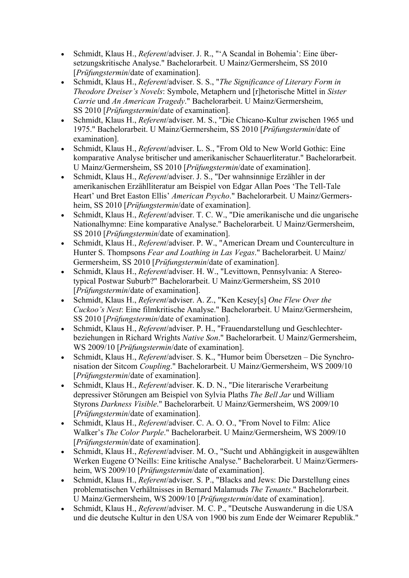- Schmidt, Klaus H., Referent/adviser. J. R., "'A Scandal in Bohemia': Eine übersetzungskritische Analyse." Bachelorarbeit. U Mainz/Germersheim, SS 2010 [Prüfungstermin/date of examination].
- Schmidt, Klaus H., Referent/adviser. S. S., "The Significance of Literary Form in Theodore Dreiser's Novels: Symbole, Metaphern und [r]hetorische Mittel in Sister Carrie und An American Tragedy." Bachelorarbeit. U Mainz/Germersheim, SS 2010 [Prüfungstermin/date of examination].
- Schmidt, Klaus H., Referent/adviser. M. S., "Die Chicano-Kultur zwischen 1965 und 1975." Bachelorarbeit. U Mainz/Germersheim, SS 2010 [Prüfungstermin/date of examination].
- Schmidt, Klaus H., *Referent/adviser. L. S.*, "From Old to New World Gothic: Eine komparative Analyse britischer und amerikanischer Schauerliteratur." Bachelorarbeit. U Mainz/Germersheim, SS 2010 [Prüfungstermin/date of examination].
- Schmidt, Klaus H., Referent/adviser. J. S., "Der wahnsinnige Erzähler in der amerikanischen Erzählliteratur am Beispiel von Edgar Allan Poes 'The Tell-Tale Heart' und Bret Easton Ellis' American Psycho." Bachelorarbeit. U Mainz/Germersheim, SS 2010 [*Prüfungstermin*/date of examination].
- Schmidt, Klaus H., Referent/adviser. T. C. W., "Die amerikanische und die ungarische Nationalhymne: Eine komparative Analyse." Bachelorarbeit. U Mainz/Germersheim, SS 2010 [Prüfungstermin/date of examination].
- Schmidt, Klaus H., Referent/adviser. P. W., "American Dream und Counterculture in Hunter S. Thompsons Fear and Loathing in Las Vegas." Bachelorarbeit. U Mainz/ Germersheim, SS 2010 [Prüfungstermin/date of examination].
- Schmidt, Klaus H., Referent/adviser. H. W., "Levittown, Pennsylvania: A Stereotypical Postwar Suburb?" Bachelorarbeit. U Mainz/Germersheim, SS 2010 [Prüfungstermin/date of examination].
- Schmidt, Klaus H., Referent/adviser. A. Z., "Ken Kesey[s] One Flew Over the Cuckoo's Nest: Eine filmkritische Analyse." Bachelorarbeit. U Mainz/Germersheim, SS 2010 [Prüfungstermin/date of examination].
- Schmidt, Klaus H., Referent/adviser. P. H., "Frauendarstellung und Geschlechterbeziehungen in Richard Wrights Native Son." Bachelorarbeit. U Mainz/Germersheim, WS 2009/10 [*Prüfungstermin*/date of examination].
- Schmidt, Klaus H., *Referent/adviser. S. K.*, "Humor beim Übersetzen Die Synchronisation der Sitcom Coupling." Bachelorarbeit. U Mainz/Germersheim, WS 2009/10 [Prüfungstermin/date of examination].
- Schmidt, Klaus H., Referent/adviser. K. D. N., "Die literarische Verarbeitung depressiver Störungen am Beispiel von Sylvia Plaths The Bell Jar und William Styrons Darkness Visible." Bachelorarbeit. U Mainz/Germersheim, WS 2009/10 [Prüfungstermin/date of examination].
- Schmidt, Klaus H., *Referent/adviser. C. A. O. O.*, "From Novel to Film: Alice Walker's The Color Purple." Bachelorarbeit. U Mainz/Germersheim, WS 2009/10 [Prüfungstermin/date of examination].
- Schmidt, Klaus H., Referent/adviser. M. O., "Sucht und Abhängigkeit in ausgewählten Werken Eugene O'Neills: Eine kritische Analyse." Bachelorarbeit. U Mainz/Germersheim, WS 2009/10 [*Prüfungstermin*/date of examination].
- Schmidt, Klaus H., *Referent/adviser.* S. P., "Blacks and Jews: Die Darstellung eines problematischen Verhältnisses in Bernard Malamuds The Tenants." Bachelorarbeit. U Mainz/Germersheim, WS 2009/10 [Prüfungstermin/date of examination].
- Schmidt, Klaus H., Referent/adviser. M. C. P., "Deutsche Auswanderung in die USA und die deutsche Kultur in den USA von 1900 bis zum Ende der Weimarer Republik."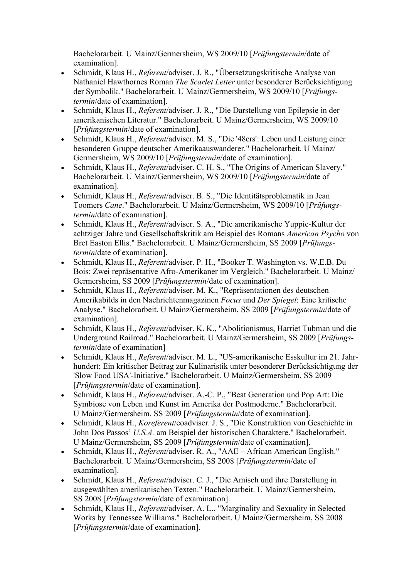Bachelorarbeit. U Mainz/Germersheim, WS 2009/10 [Prüfungstermin/date of examination].

- Schmidt, Klaus H., *Referent*/adviser. J. R., "Übersetzungskritische Analyse von Nathaniel Hawthornes Roman The Scarlet Letter unter besonderer Berücksichtigung der Symbolik." Bachelorarbeit. U Mainz/Germersheim, WS 2009/10 [Prüfungstermin/date of examination].
- Schmidt, Klaus H., Referent/adviser. J. R., "Die Darstellung von Epilepsie in der amerikanischen Literatur." Bachelorarbeit. U Mainz/Germersheim, WS 2009/10 [Prüfungstermin/date of examination].
- Schmidt, Klaus H., Referent/adviser. M. S., "Die '48ers': Leben und Leistung einer besonderen Gruppe deutscher Amerikaauswanderer." Bachelorarbeit. U Mainz/ Germersheim, WS 2009/10 [Prüfungstermin/date of examination].
- Schmidt, Klaus H., *Referent/adviser. C. H. S.*, "The Origins of American Slavery." Bachelorarbeit. U Mainz/Germersheim, WS 2009/10 [Prüfungstermin/date of examination].
- Schmidt, Klaus H., *Referent*/adviser. B. S., "Die Identitätsproblematik in Jean Toomers Cane." Bachelorarbeit. U Mainz/Germersheim, WS 2009/10 [Prüfungstermin/date of examination].
- Schmidt, Klaus H., Referent/adviser. S. A., "Die amerikanische Yuppie-Kultur der achtziger Jahre und Gesellschaftskritik am Beispiel des Romans American Psycho von Bret Easton Ellis." Bachelorarbeit. U Mainz/Germersheim, SS 2009 [Prüfungstermin/date of examination].
- Schmidt, Klaus H., *Referent/adviser. P. H., "Booker T. Washington vs. W.E.B. Du* Bois: Zwei repräsentative Afro-Amerikaner im Vergleich." Bachelorarbeit. U Mainz/ Germersheim, SS 2009 [Prüfungstermin/date of examination].
- Schmidt, Klaus H., Referent/adviser. M. K., "Repräsentationen des deutschen Amerikabilds in den Nachrichtenmagazinen Focus und Der Spiegel: Eine kritische Analyse." Bachelorarbeit. U Mainz/Germersheim, SS 2009 [Prüfungstermin/date of examination].
- Schmidt, Klaus H., Referent/adviser. K. K., "Abolitionismus, Harriet Tubman und die Underground Railroad." Bachelorarbeit. U Mainz/Germersheim, SS 2009 [Prüfungstermin/date of examination]
- Schmidt, Klaus H., Referent/adviser. M. L., "US-amerikanische Esskultur im 21. Jahrhundert: Ein kritischer Beitrag zur Kulinaristik unter besonderer Berücksichtigung der 'Slow Food USA'-Initiative." Bachelorarbeit. U Mainz/Germersheim, SS 2009 [Prüfungstermin/date of examination].
- Schmidt, Klaus H., Referent/adviser. A.-C. P., "Beat Generation und Pop Art: Die Symbiose von Leben und Kunst im Amerika der Postmoderne." Bachelorarbeit. U Mainz/Germersheim, SS 2009 [Prüfungstermin/date of examination].
- Schmidt, Klaus H., Koreferent/coadviser. J. S., "Die Konstruktion von Geschichte in John Dos Passos' U.S.A. am Beispiel der historischen Charaktere." Bachelorarbeit. U Mainz/Germersheim, SS 2009 [Prüfungstermin/date of examination].
- Schmidt, Klaus H., *Referent*/adviser. R. A., "AAE African American English." Bachelorarbeit. U Mainz/Germersheim, SS 2008 [Prüfungstermin/date of examination].
- Schmidt, Klaus H., *Referent/adviser. C. J.*, "Die Amisch und ihre Darstellung in ausgewählten amerikanischen Texten." Bachelorarbeit. U Mainz/Germersheim, SS 2008 [Prüfungstermin/date of examination].
- Schmidt, Klaus H., Referent/adviser. A. L., "Marginality and Sexuality in Selected Works by Tennessee Williams." Bachelorarbeit. U Mainz/Germersheim, SS 2008 [Prüfungstermin/date of examination].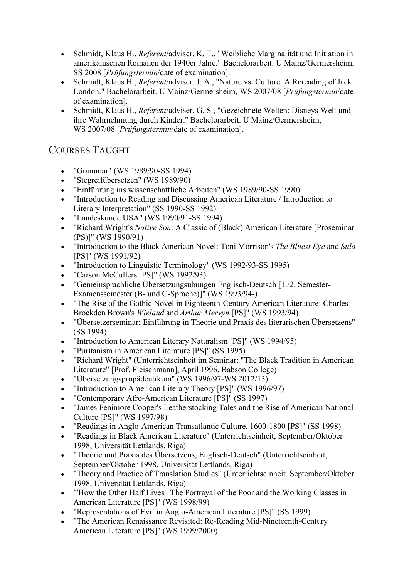- Schmidt, Klaus H., Referent/adviser. K. T., "Weibliche Marginalität und Initiation in amerikanischen Romanen der 1940er Jahre." Bachelorarbeit. U Mainz/Germersheim, SS 2008 [Prüfungstermin/date of examination].
- Schmidt, Klaus H., *Referent/adviser. J. A.*, "Nature vs. Culture: A Rereading of Jack London." Bachelorarbeit. U Mainz/Germersheim, WS 2007/08 [Prüfungstermin/date of examination].
- Schmidt, Klaus H., Referent/adviser. G. S., "Gezeichnete Welten: Disneys Welt und ihre Wahrnehmung durch Kinder." Bachelorarbeit. U Mainz/Germersheim, WS 2007/08 [Prüfungstermin/date of examination].

## COURSES TAUGHT

- "Grammar" (WS 1989/90-SS 1994)
- "Stegreifübersetzen" (WS 1989/90)
- "Einführung ins wissenschaftliche Arbeiten" (WS 1989/90-SS 1990)
- "Introduction to Reading and Discussing American Literature / Introduction to Literary Interpretation" (SS 1990-SS 1992)
- "Landeskunde USA" (WS 1990/91-SS 1994)
- "Richard Wright's Native Son: A Classic of (Black) American Literature [Proseminar (PS)]" (WS 1990/91)
- "Introduction to the Black American Novel: Toni Morrison's The Bluest Eye and Sula [PS]" (WS 1991/92)
- "Introduction to Linguistic Terminology" (WS 1992/93-SS 1995)
- "Carson McCullers [PS]" (WS 1992/93)
- "Gemeinsprachliche Übersetzungsübungen Englisch-Deutsch [1./2. Semester-Examenssemester (B- und C-Sprache)]" (WS 1993/94-)
- "The Rise of the Gothic Novel in Eighteenth-Century American Literature: Charles Brockden Brown's Wieland and Arthur Mervyn [PS]" (WS 1993/94)
- "Übersetzerseminar: Einführung in Theorie und Praxis des literarischen Übersetzens" (SS 1994)
- "Introduction to American Literary Naturalism [PS]" (WS 1994/95)
- "Puritanism in American Literature [PS]" (SS 1995)
- "Richard Wright" (Unterrichtseinheit im Seminar: "The Black Tradition in American Literature" [Prof. Fleischmann], April 1996, Babson College)
- "Übersetzungspropädeutikum" (WS 1996/97-WS 2012/13)
- "Introduction to American Literary Theory [PS]" (WS 1996/97)
- "Contemporary Afro-American Literature [PS]" (SS 1997)
- "James Fenimore Cooper's Leatherstocking Tales and the Rise of American National Culture [PS]" (WS 1997/98)
- "Readings in Anglo-American Transatlantic Culture, 1600-1800 [PS]" (SS 1998)
- "Readings in Black American Literature" (Unterrichtseinheit, September/Oktober 1998, Universität Lettlands, Riga)
- "Theorie und Praxis des Übersetzens, Englisch-Deutsch" (Unterrichtseinheit, September/Oktober 1998, Universität Lettlands, Riga)
- "Theory and Practice of Translation Studies" (Unterrichtseinheit, September/Oktober 1998, Universität Lettlands, Riga)
- "'How the Other Half Lives': The Portrayal of the Poor and the Working Classes in American Literature [PS]" (WS 1998/99)
- "Representations of Evil in Anglo-American Literature [PS]" (SS 1999)
- "The American Renaissance Revisited: Re-Reading Mid-Nineteenth-Century American Literature [PS]" (WS 1999/2000)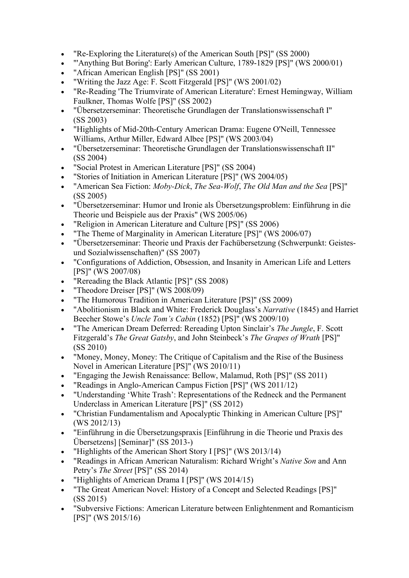- "Re-Exploring the Literature(s) of the American South [PS]" (SS 2000)
- "'Anything But Boring': Early American Culture, 1789-1829 [PS]" (WS 2000/01)
- "African American English [PS]" (SS 2001)
- "Writing the Jazz Age: F. Scott Fitzgerald [PS]" (WS 2001/02)
- "Re-Reading 'The Triumvirate of American Literature': Ernest Hemingway, William Faulkner, Thomas Wolfe [PS]" (SS 2002)
- "Übersetzerseminar: Theoretische Grundlagen der Translationswissenschaft I" (SS 2003)
- "Highlights of Mid-20th-Century American Drama: Eugene O'Neill, Tennessee Williams, Arthur Miller, Edward Albee [PS]" (WS 2003/04)
- "Übersetzerseminar: Theoretische Grundlagen der Translationswissenschaft II" (SS 2004)
- "Social Protest in American Literature [PS]" (SS 2004)
- "Stories of Initiation in American Literature [PS]" (WS 2004/05)
- "American Sea Fiction: Moby-Dick, The Sea-Wolf, The Old Man and the Sea [PS]" (SS 2005)
- "Übersetzerseminar: Humor und Ironie als Übersetzungsproblem: Einführung in die Theorie und Beispiele aus der Praxis" (WS 2005/06)
- "Religion in American Literature and Culture [PS]" (SS 2006)
- "The Theme of Marginality in American Literature [PS]" (WS 2006/07)
- "Übersetzerseminar: Theorie und Praxis der Fachübersetzung (Schwerpunkt: Geistesund Sozialwissenschaften)" (SS 2007)
- "Configurations of Addiction, Obsession, and Insanity in American Life and Letters [PS]" (WS 2007/08)
- "Rereading the Black Atlantic [PS]" (SS 2008)
- "Theodore Dreiser [PS]" (WS 2008/09)
- "The Humorous Tradition in American Literature [PS]" (SS 2009)
- "Abolitionism in Black and White: Frederick Douglass's Narrative (1845) and Harriet Beecher Stowe's Uncle Tom's Cabin (1852) [PS]" (WS 2009/10)
- "The American Dream Deferred: Rereading Upton Sinclair's The Jungle, F. Scott Fitzgerald's The Great Gatsby, and John Steinbeck's The Grapes of Wrath [PS]" (SS 2010)
- "Money, Money, Money: The Critique of Capitalism and the Rise of the Business Novel in American Literature [PS]" (WS 2010/11)
- "Engaging the Jewish Renaissance: Bellow, Malamud, Roth [PS]" (SS 2011)
- "Readings in Anglo-American Campus Fiction [PS]" (WS 2011/12)
- "Understanding 'White Trash': Representations of the Redneck and the Permanent Underclass in American Literature [PS]" (SS 2012)
- "Christian Fundamentalism and Apocalyptic Thinking in American Culture [PS]" (WS 2012/13)
- "Einführung in die Übersetzungspraxis [Einführung in die Theorie und Praxis des Übersetzens] [Seminar]" (SS 2013-)
- "Highlights of the American Short Story I [PS]" (WS 2013/14)
- "Readings in African American Naturalism: Richard Wright's Native Son and Ann Petry's The Street [PS]" (SS 2014)
- "Highlights of American Drama I [PS]" (WS 2014/15)
- "The Great American Novel: History of a Concept and Selected Readings [PS]" (SS 2015)
- "Subversive Fictions: American Literature between Enlightenment and Romanticism [PS]" (WS 2015/16)